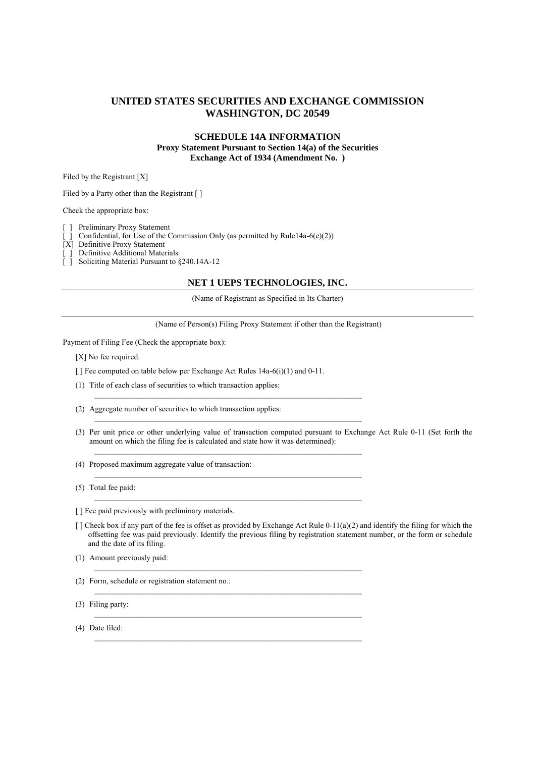# **UNITED STATES SECURITIES AND EXCHANGE COMMISSION WASHINGTON, DC 20549**

## **SCHEDULE 14A INFORMATION Proxy Statement Pursuant to Section 14(a) of the Securities Exchange Act of 1934 (Amendment No. )**

Filed by the Registrant [X]

Filed by a Party other than the Registrant [ ]

Check the appropriate box:

Preliminary Proxy Statement

Confidential, for Use of the Commission Only (as permitted by Rule14a-6(e)(2))

[X] Definitive Proxy Statement

[ ] Definitive Additional Materials

[ ] Soliciting Material Pursuant to §240.14A-12

#### **NET 1 UEPS TECHNOLOGIES, INC.**

(Name of Registrant as Specified in Its Charter)

(Name of Person(s) Filing Proxy Statement if other than the Registrant)

Payment of Filing Fee (Check the appropriate box):

[X] No fee required.

[ ] Fee computed on table below per Exchange Act Rules 14a-6(i)(1) and 0-11.

 $\mathcal{L}_\text{max}$ 

 $\mathcal{L}_\text{max}$ 

(1) Title of each class of securities to which transaction applies:

- (2) Aggregate number of securities to which transaction applies:
- (3) Per unit price or other underlying value of transaction computed pursuant to Exchange Act Rule 0-11 (Set forth the amount on which the filing fee is calculated and state how it was determined):
- (4) Proposed maximum aggregate value of transaction:

(5) Total fee paid:

[ ] Fee paid previously with preliminary materials.

- $\lceil$  ] Check box if any part of the fee is offset as provided by Exchange Act Rule 0-11(a)(2) and identify the filing for which the offsetting fee was paid previously. Identify the previous filing by registration statement number, or the form or schedule and the date of its filing.
- (1) Amount previously paid:
- (2) Form, schedule or registration statement no.:
- (3) Filing party:
- (4) Date filed: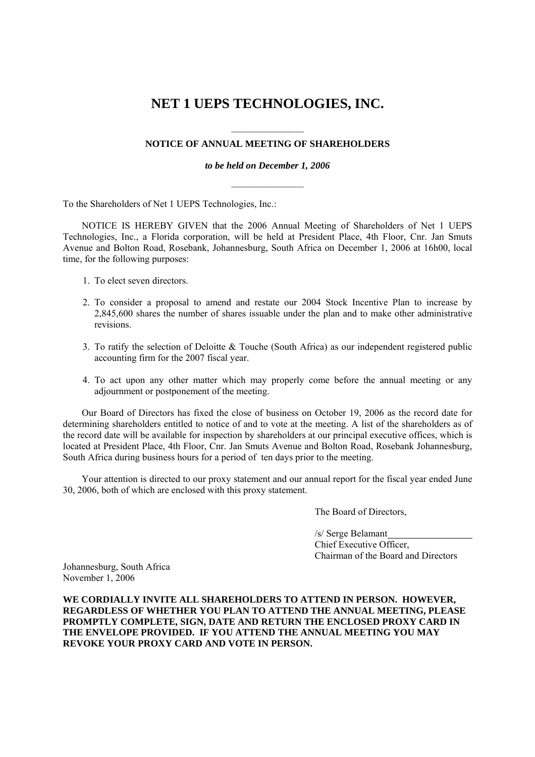# **NET 1 UEPS TECHNOLOGIES, INC.**

# **NOTICE OF ANNUAL MEETING OF SHAREHOLDERS**

*to be held on December 1, 2006*   $\frac{1}{2}$ 

To the Shareholders of Net 1 UEPS Technologies, Inc.:

NOTICE IS HEREBY GIVEN that the 2006 Annual Meeting of Shareholders of Net 1 UEPS Technologies, Inc., a Florida corporation, will be held at President Place, 4th Floor, Cnr. Jan Smuts Avenue and Bolton Road, Rosebank, Johannesburg, South Africa on December 1, 2006 at 16h00, local time, for the following purposes:

- 1. To elect seven directors.
- 2. To consider a proposal to amend and restate our 2004 Stock Incentive Plan to increase by 2,845,600 shares the number of shares issuable under the plan and to make other administrative revisions.
- 3. To ratify the selection of Deloitte & Touche (South Africa) as our independent registered public accounting firm for the 2007 fiscal year.
- 4. To act upon any other matter which may properly come before the annual meeting or any adjournment or postponement of the meeting.

Our Board of Directors has fixed the close of business on October 19, 2006 as the record date for determining shareholders entitled to notice of and to vote at the meeting. A list of the shareholders as of the record date will be available for inspection by shareholders at our principal executive offices, which is located at President Place, 4th Floor, Cnr. Jan Smuts Avenue and Bolton Road, Rosebank Johannesburg, South Africa during business hours for a period of ten days prior to the meeting.

Your attention is directed to our proxy statement and our annual report for the fiscal year ended June 30, 2006, both of which are enclosed with this proxy statement.

The Board of Directors,

 /s/ Serge Belamant Chief Executive Officer, Chairman of the Board and Directors

Johannesburg, South Africa November 1, 2006

**WE CORDIALLY INVITE ALL SHAREHOLDERS TO ATTEND IN PERSON. HOWEVER, REGARDLESS OF WHETHER YOU PLAN TO ATTEND THE ANNUAL MEETING, PLEASE PROMPTLY COMPLETE, SIGN, DATE AND RETURN THE ENCLOSED PROXY CARD IN THE ENVELOPE PROVIDED. IF YOU ATTEND THE ANNUAL MEETING YOU MAY REVOKE YOUR PROXY CARD AND VOTE IN PERSON.**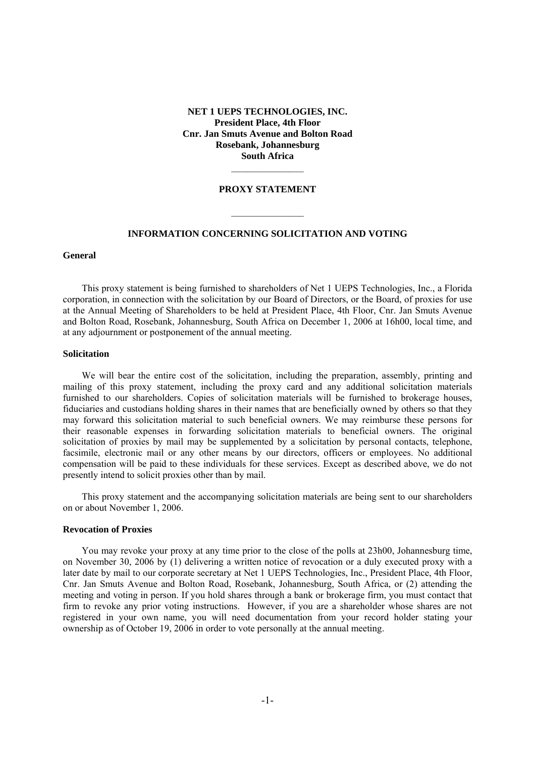## **NET 1 UEPS TECHNOLOGIES, INC. President Place, 4th Floor Cnr. Jan Smuts Avenue and Bolton Road Rosebank, Johannesburg South Africa**

## **PROXY STATEMENT**

## **INFORMATION CONCERNING SOLICITATION AND VOTING**

 $\frac{1}{2}$ 

#### **General**

This proxy statement is being furnished to shareholders of Net 1 UEPS Technologies, Inc., a Florida corporation, in connection with the solicitation by our Board of Directors, or the Board, of proxies for use at the Annual Meeting of Shareholders to be held at President Place, 4th Floor, Cnr. Jan Smuts Avenue and Bolton Road, Rosebank, Johannesburg, South Africa on December 1, 2006 at 16h00, local time, and at any adjournment or postponement of the annual meeting.

#### **Solicitation**

We will bear the entire cost of the solicitation, including the preparation, assembly, printing and mailing of this proxy statement, including the proxy card and any additional solicitation materials furnished to our shareholders. Copies of solicitation materials will be furnished to brokerage houses, fiduciaries and custodians holding shares in their names that are beneficially owned by others so that they may forward this solicitation material to such beneficial owners. We may reimburse these persons for their reasonable expenses in forwarding solicitation materials to beneficial owners. The original solicitation of proxies by mail may be supplemented by a solicitation by personal contacts, telephone, facsimile, electronic mail or any other means by our directors, officers or employees. No additional compensation will be paid to these individuals for these services. Except as described above, we do not presently intend to solicit proxies other than by mail.

This proxy statement and the accompanying solicitation materials are being sent to our shareholders on or about November 1, 2006.

#### **Revocation of Proxies**

You may revoke your proxy at any time prior to the close of the polls at 23h00, Johannesburg time, on November 30, 2006 by (1) delivering a written notice of revocation or a duly executed proxy with a later date by mail to our corporate secretary at Net 1 UEPS Technologies, Inc., President Place, 4th Floor, Cnr. Jan Smuts Avenue and Bolton Road, Rosebank, Johannesburg, South Africa, or (2) attending the meeting and voting in person. If you hold shares through a bank or brokerage firm, you must contact that firm to revoke any prior voting instructions. However, if you are a shareholder whose shares are not registered in your own name, you will need documentation from your record holder stating your ownership as of October 19, 2006 in order to vote personally at the annual meeting.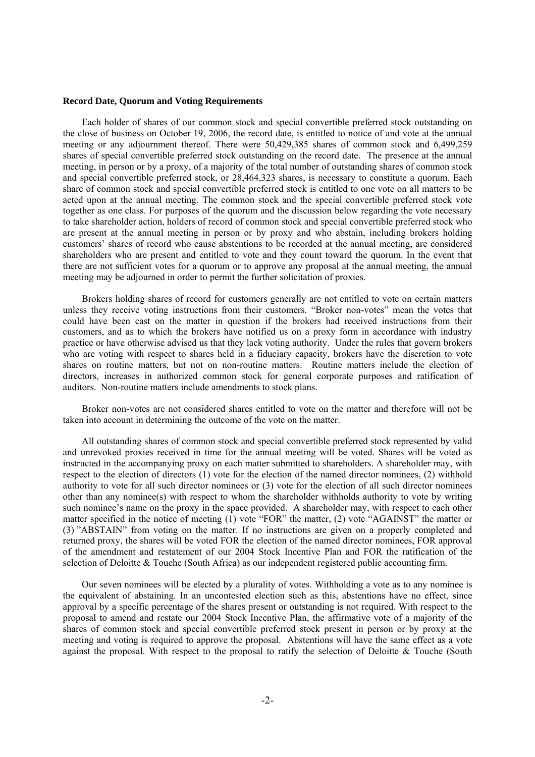#### **Record Date, Quorum and Voting Requirements**

Each holder of shares of our common stock and special convertible preferred stock outstanding on the close of business on October 19, 2006, the record date, is entitled to notice of and vote at the annual meeting or any adjournment thereof. There were 50,429,385 shares of common stock and 6,499,259 shares of special convertible preferred stock outstanding on the record date. The presence at the annual meeting, in person or by a proxy, of a majority of the total number of outstanding shares of common stock and special convertible preferred stock, or 28,464,323 shares, is necessary to constitute a quorum. Each share of common stock and special convertible preferred stock is entitled to one vote on all matters to be acted upon at the annual meeting. The common stock and the special convertible preferred stock vote together as one class. For purposes of the quorum and the discussion below regarding the vote necessary to take shareholder action, holders of record of common stock and special convertible preferred stock who are present at the annual meeting in person or by proxy and who abstain, including brokers holding customers' shares of record who cause abstentions to be recorded at the annual meeting, are considered shareholders who are present and entitled to vote and they count toward the quorum. In the event that there are not sufficient votes for a quorum or to approve any proposal at the annual meeting, the annual meeting may be adjourned in order to permit the further solicitation of proxies.

Brokers holding shares of record for customers generally are not entitled to vote on certain matters unless they receive voting instructions from their customers. "Broker non-votes" mean the votes that could have been cast on the matter in question if the brokers had received instructions from their customers, and as to which the brokers have notified us on a proxy form in accordance with industry practice or have otherwise advised us that they lack voting authority. Under the rules that govern brokers who are voting with respect to shares held in a fiduciary capacity, brokers have the discretion to vote shares on routine matters, but not on non-routine matters. Routine matters include the election of directors, increases in authorized common stock for general corporate purposes and ratification of auditors. Non-routine matters include amendments to stock plans.

Broker non-votes are not considered shares entitled to vote on the matter and therefore will not be taken into account in determining the outcome of the vote on the matter.

All outstanding shares of common stock and special convertible preferred stock represented by valid and unrevoked proxies received in time for the annual meeting will be voted. Shares will be voted as instructed in the accompanying proxy on each matter submitted to shareholders. A shareholder may, with respect to the election of directors (1) vote for the election of the named director nominees, (2) withhold authority to vote for all such director nominees or (3) vote for the election of all such director nominees other than any nominee(s) with respect to whom the shareholder withholds authority to vote by writing such nominee's name on the proxy in the space provided. A shareholder may, with respect to each other matter specified in the notice of meeting (1) vote "FOR" the matter, (2) vote "AGAINST" the matter or (3) "ABSTAIN" from voting on the matter. If no instructions are given on a properly completed and returned proxy, the shares will be voted FOR the election of the named director nominees, FOR approval of the amendment and restatement of our 2004 Stock Incentive Plan and FOR the ratification of the selection of Deloitte & Touche (South Africa) as our independent registered public accounting firm.

Our seven nominees will be elected by a plurality of votes. Withholding a vote as to any nominee is the equivalent of abstaining. In an uncontested election such as this, abstentions have no effect, since approval by a specific percentage of the shares present or outstanding is not required. With respect to the proposal to amend and restate our 2004 Stock Incentive Plan, the affirmative vote of a majority of the shares of common stock and special convertible preferred stock present in person or by proxy at the meeting and voting is required to approve the proposal. Abstentions will have the same effect as a vote against the proposal. With respect to the proposal to ratify the selection of Deloitte & Touche (South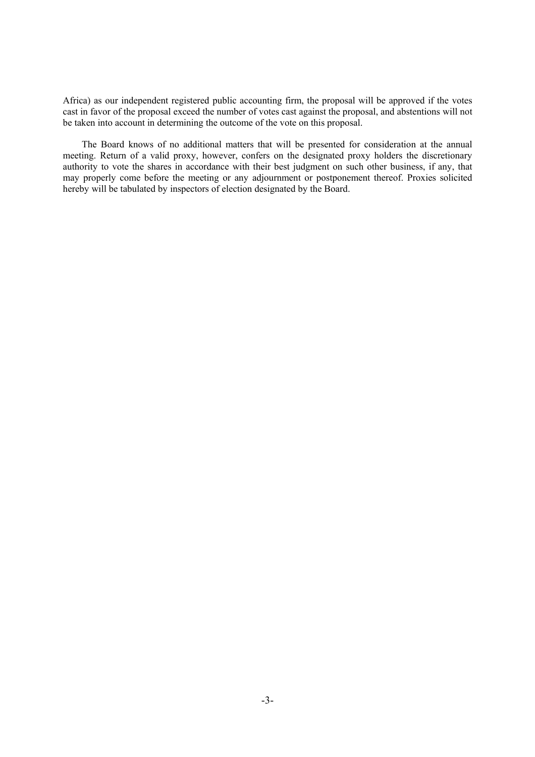Africa) as our independent registered public accounting firm, the proposal will be approved if the votes cast in favor of the proposal exceed the number of votes cast against the proposal, and abstentions will not be taken into account in determining the outcome of the vote on this proposal.

The Board knows of no additional matters that will be presented for consideration at the annual meeting. Return of a valid proxy, however, confers on the designated proxy holders the discretionary authority to vote the shares in accordance with their best judgment on such other business, if any, that may properly come before the meeting or any adjournment or postponement thereof. Proxies solicited hereby will be tabulated by inspectors of election designated by the Board.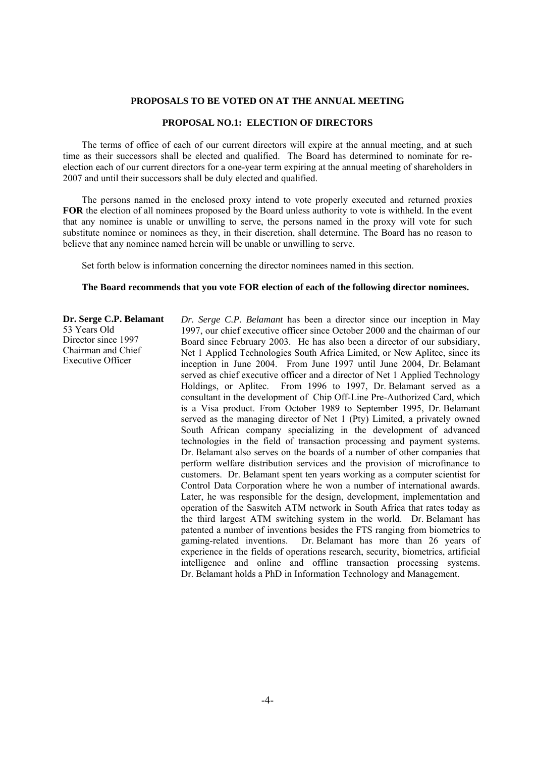#### **PROPOSALS TO BE VOTED ON AT THE ANNUAL MEETING**

## **PROPOSAL NO.1: ELECTION OF DIRECTORS**

The terms of office of each of our current directors will expire at the annual meeting, and at such time as their successors shall be elected and qualified. The Board has determined to nominate for reelection each of our current directors for a one-year term expiring at the annual meeting of shareholders in 2007 and until their successors shall be duly elected and qualified.

The persons named in the enclosed proxy intend to vote properly executed and returned proxies **FOR** the election of all nominees proposed by the Board unless authority to vote is withheld. In the event that any nominee is unable or unwilling to serve, the persons named in the proxy will vote for such substitute nominee or nominees as they, in their discretion, shall determine. The Board has no reason to believe that any nominee named herein will be unable or unwilling to serve.

Set forth below is information concerning the director nominees named in this section.

### **The Board recommends that you vote FOR election of each of the following director nominees.**

# **Dr. Serge C.P. Belamant**  53 Years Old Director since 1997

Chairman and Chief Executive Officer

*Dr. Serge C.P. Belamant* has been a director since our inception in May 1997, our chief executive officer since October 2000 and the chairman of our Board since February 2003. He has also been a director of our subsidiary, Net 1 Applied Technologies South Africa Limited, or New Aplitec, since its inception in June 2004. From June 1997 until June 2004, Dr. Belamant served as chief executive officer and a director of Net 1 Applied Technology Holdings, or Aplitec. From 1996 to 1997, Dr. Belamant served as a consultant in the development of Chip Off-Line Pre-Authorized Card, which is a Visa product. From October 1989 to September 1995, Dr. Belamant served as the managing director of Net 1 (Pty) Limited, a privately owned South African company specializing in the development of advanced technologies in the field of transaction processing and payment systems. Dr. Belamant also serves on the boards of a number of other companies that perform welfare distribution services and the provision of microfinance to customers. Dr. Belamant spent ten years working as a computer scientist for Control Data Corporation where he won a number of international awards. Later, he was responsible for the design, development, implementation and operation of the Saswitch ATM network in South Africa that rates today as the third largest ATM switching system in the world. Dr. Belamant has patented a number of inventions besides the FTS ranging from biometrics to gaming-related inventions. Dr. Belamant has more than 26 years of experience in the fields of operations research, security, biometrics, artificial intelligence and online and offline transaction processing systems. Dr. Belamant holds a PhD in Information Technology and Management.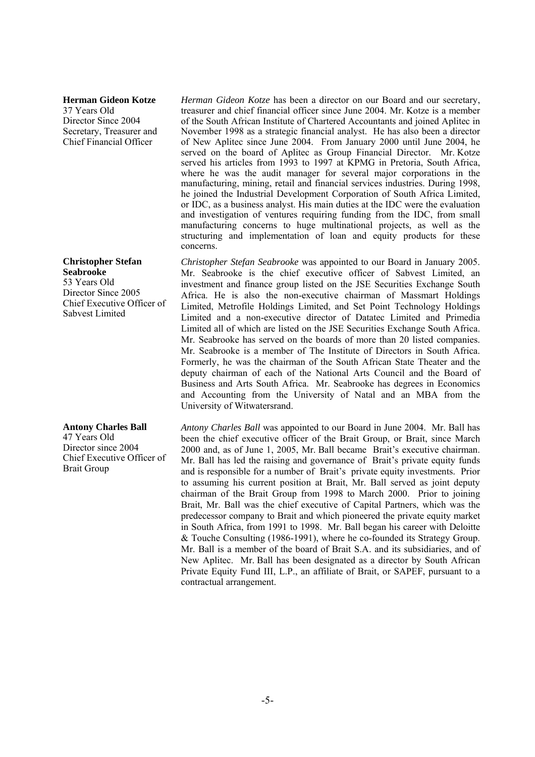#### **Herman Gideon Kotze**

37 Years Old Director Since 2004 Secretary, Treasurer and Chief Financial Officer

#### **Christopher Stefan Seabrooke**

53 Years Old Director Since 2005 Chief Executive Officer of Sabvest Limited

# **Antony Charles Ball**

47 Years Old Director since 2004 Chief Executive Officer of Brait Group

*Herman Gideon Kotze* has been a director on our Board and our secretary, treasurer and chief financial officer since June 2004. Mr. Kotze is a member of the South African Institute of Chartered Accountants and joined Aplitec in November 1998 as a strategic financial analyst. He has also been a director of New Aplitec since June 2004. From January 2000 until June 2004, he served on the board of Aplitec as Group Financial Director. Mr. Kotze served his articles from 1993 to 1997 at KPMG in Pretoria, South Africa, where he was the audit manager for several major corporations in the manufacturing, mining, retail and financial services industries. During 1998, he joined the Industrial Development Corporation of South Africa Limited, or IDC, as a business analyst. His main duties at the IDC were the evaluation and investigation of ventures requiring funding from the IDC, from small manufacturing concerns to huge multinational projects, as well as the structuring and implementation of loan and equity products for these concerns.

*Christopher Stefan Seabrooke* was appointed to our Board in January 2005. Mr. Seabrooke is the chief executive officer of Sabvest Limited, an investment and finance group listed on the JSE Securities Exchange South Africa. He is also the non-executive chairman of Massmart Holdings Limited, Metrofile Holdings Limited, and Set Point Technology Holdings Limited and a non-executive director of Datatec Limited and Primedia Limited all of which are listed on the JSE Securities Exchange South Africa. Mr. Seabrooke has served on the boards of more than 20 listed companies. Mr. Seabrooke is a member of The Institute of Directors in South Africa. Formerly, he was the chairman of the South African State Theater and the deputy chairman of each of the National Arts Council and the Board of Business and Arts South Africa. Mr. Seabrooke has degrees in Economics and Accounting from the University of Natal and an MBA from the University of Witwatersrand.

*Antony Charles Ball* was appointed to our Board in June 2004. Mr. Ball has been the chief executive officer of the Brait Group, or Brait, since March 2000 and, as of June 1, 2005, Mr. Ball became Brait's executive chairman. Mr. Ball has led the raising and governance of Brait's private equity funds and is responsible for a number of Brait's private equity investments. Prior to assuming his current position at Brait, Mr. Ball served as joint deputy chairman of the Brait Group from 1998 to March 2000. Prior to joining Brait, Mr. Ball was the chief executive of Capital Partners, which was the predecessor company to Brait and which pioneered the private equity market in South Africa, from 1991 to 1998. Mr. Ball began his career with Deloitte & Touche Consulting (1986-1991), where he co-founded its Strategy Group. Mr. Ball is a member of the board of Brait S.A. and its subsidiaries, and of New Aplitec. Mr. Ball has been designated as a director by South African Private Equity Fund III, L.P., an affiliate of Brait, or SAPEF, pursuant to a contractual arrangement.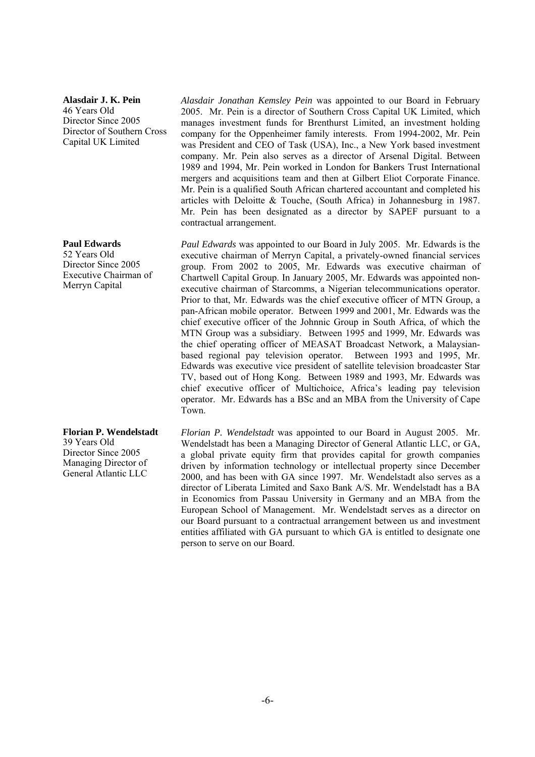**Alasdair J. K. Pein**  46 Years Old Director Since 2005 Director of Southern Cross Capital UK Limited

**Paul Edwards** 

52 Years Old Director Since 2005 Executive Chairman of Merryn Capital

**Florian P. Wendelstadt**  39 Years Old Director Since 2005 Managing Director of General Atlantic LLC

*Alasdair Jonathan Kemsley Pein* was appointed to our Board in February 2005. Mr. Pein is a director of Southern Cross Capital UK Limited, which manages investment funds for Brenthurst Limited, an investment holding company for the Oppenheimer family interests. From 1994-2002, Mr. Pein was President and CEO of Task (USA), Inc., a New York based investment company. Mr. Pein also serves as a director of Arsenal Digital. Between 1989 and 1994, Mr. Pein worked in London for Bankers Trust International mergers and acquisitions team and then at Gilbert Eliot Corporate Finance. Mr. Pein is a qualified South African chartered accountant and completed his articles with Deloitte & Touche, (South Africa) in Johannesburg in 1987. Mr. Pein has been designated as a director by SAPEF pursuant to a contractual arrangement.

*Paul Edwards* was appointed to our Board in July 2005. Mr. Edwards is the executive chairman of Merryn Capital, a privately-owned financial services group. From 2002 to 2005, Mr. Edwards was executive chairman of Chartwell Capital Group. In January 2005, Mr. Edwards was appointed nonexecutive chairman of Starcomms, a Nigerian telecommunications operator. Prior to that, Mr. Edwards was the chief executive officer of MTN Group, a pan-African mobile operator. Between 1999 and 2001, Mr. Edwards was the chief executive officer of the Johnnic Group in South Africa, of which the MTN Group was a subsidiary. Between 1995 and 1999, Mr. Edwards was the chief operating officer of MEASAT Broadcast Network, a Malaysianbased regional pay television operator. Between 1993 and 1995, Mr. Edwards was executive vice president of satellite television broadcaster Star TV, based out of Hong Kong. Between 1989 and 1993, Mr. Edwards was chief executive officer of Multichoice, Africa's leading pay television operator. Mr. Edwards has a BSc and an MBA from the University of Cape Town.

*Florian P. Wendelstadt* was appointed to our Board in August 2005. Mr. Wendelstadt has been a Managing Director of General Atlantic LLC, or GA, a global private equity firm that provides capital for growth companies driven by information technology or intellectual property since December 2000, and has been with GA since 1997. Mr. Wendelstadt also serves as a director of Liberata Limited and Saxo Bank A/S. Mr. Wendelstadt has a BA in Economics from Passau University in Germany and an MBA from the European School of Management. Mr. Wendelstadt serves as a director on our Board pursuant to a contractual arrangement between us and investment entities affiliated with GA pursuant to which GA is entitled to designate one person to serve on our Board.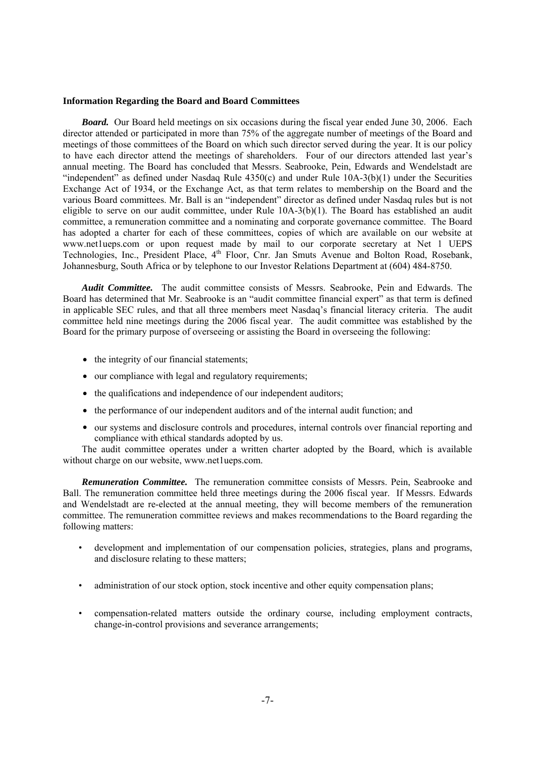## **Information Regarding the Board and Board Committees**

*Board.* Our Board held meetings on six occasions during the fiscal year ended June 30, 2006. Each director attended or participated in more than 75% of the aggregate number of meetings of the Board and meetings of those committees of the Board on which such director served during the year. It is our policy to have each director attend the meetings of shareholders. Four of our directors attended last year's annual meeting. The Board has concluded that Messrs. Seabrooke, Pein, Edwards and Wendelstadt are "independent" as defined under Nasdaq Rule  $4350(c)$  and under Rule  $10A-3(b)(1)$  under the Securities Exchange Act of 1934, or the Exchange Act, as that term relates to membership on the Board and the various Board committees. Mr. Ball is an "independent" director as defined under Nasdaq rules but is not eligible to serve on our audit committee, under Rule 10A-3(b)(1). The Board has established an audit committee, a remuneration committee and a nominating and corporate governance committee. The Board has adopted a charter for each of these committees, copies of which are available on our website at www.netlueps.com or upon request made by mail to our corporate secretary at Net 1 UEPS Technologies, Inc., President Place, 4<sup>th</sup> Floor, Cnr. Jan Smuts Avenue and Bolton Road, Rosebank, Johannesburg, South Africa or by telephone to our Investor Relations Department at (604) 484-8750.

*Audit Committee.* The audit committee consists of Messrs. Seabrooke, Pein and Edwards. The Board has determined that Mr. Seabrooke is an "audit committee financial expert" as that term is defined in applicable SEC rules, and that all three members meet Nasdaq's financial literacy criteria. The audit committee held nine meetings during the 2006 fiscal year. The audit committee was established by the Board for the primary purpose of overseeing or assisting the Board in overseeing the following:

- the integrity of our financial statements;
- our compliance with legal and regulatory requirements;
- the qualifications and independence of our independent auditors;
- the performance of our independent auditors and of the internal audit function; and
- our systems and disclosure controls and procedures, internal controls over financial reporting and compliance with ethical standards adopted by us.

The audit committee operates under a written charter adopted by the Board, which is available without charge on our website, www.net1ueps.com.

*Remuneration Committee.* The remuneration committee consists of Messrs. Pein, Seabrooke and Ball. The remuneration committee held three meetings during the 2006 fiscal year. If Messrs. Edwards and Wendelstadt are re-elected at the annual meeting, they will become members of the remuneration committee. The remuneration committee reviews and makes recommendations to the Board regarding the following matters:

- development and implementation of our compensation policies, strategies, plans and programs, and disclosure relating to these matters;
- administration of our stock option, stock incentive and other equity compensation plans;
- compensation-related matters outside the ordinary course, including employment contracts, change-in-control provisions and severance arrangements;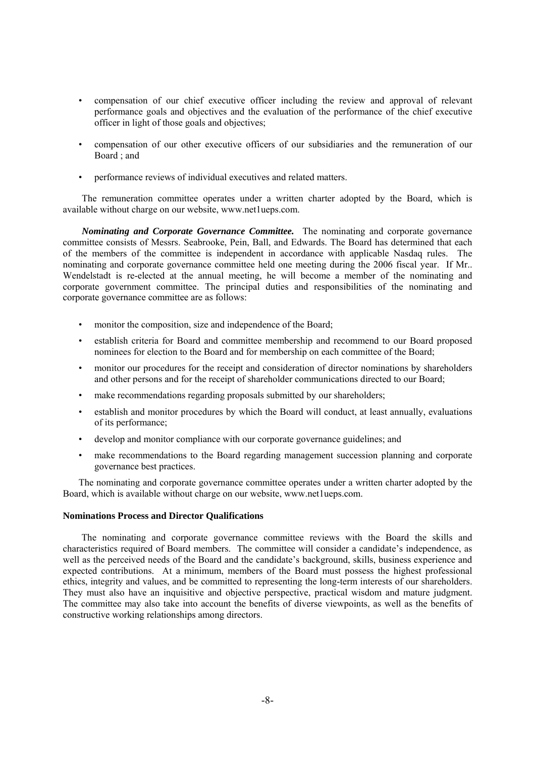- compensation of our chief executive officer including the review and approval of relevant performance goals and objectives and the evaluation of the performance of the chief executive officer in light of those goals and objectives;
- compensation of our other executive officers of our subsidiaries and the remuneration of our  $Board : and$
- performance reviews of individual executives and related matters.

The remuneration committee operates under a written charter adopted by the Board, which is available without charge on our website, www.net1ueps.com.

*Nominating and Corporate Governance Committee.* The nominating and corporate governance committee consists of Messrs. Seabrooke, Pein, Ball, and Edwards. The Board has determined that each of the members of the committee is independent in accordance with applicable Nasdaq rules. The nominating and corporate governance committee held one meeting during the 2006 fiscal year. If Mr.. Wendelstadt is re-elected at the annual meeting, he will become a member of the nominating and corporate government committee. The principal duties and responsibilities of the nominating and corporate governance committee are as follows:

- monitor the composition, size and independence of the Board;
- establish criteria for Board and committee membership and recommend to our Board proposed nominees for election to the Board and for membership on each committee of the Board;
- monitor our procedures for the receipt and consideration of director nominations by shareholders and other persons and for the receipt of shareholder communications directed to our Board;
- make recommendations regarding proposals submitted by our shareholders;
- establish and monitor procedures by which the Board will conduct, at least annually, evaluations of its performance;
- develop and monitor compliance with our corporate governance guidelines; and
- make recommendations to the Board regarding management succession planning and corporate governance best practices.

The nominating and corporate governance committee operates under a written charter adopted by the Board, which is available without charge on our website, www.net1ueps.com.

## **Nominations Process and Director Qualifications**

The nominating and corporate governance committee reviews with the Board the skills and characteristics required of Board members. The committee will consider a candidate's independence, as well as the perceived needs of the Board and the candidate's background, skills, business experience and expected contributions. At a minimum, members of the Board must possess the highest professional ethics, integrity and values, and be committed to representing the long-term interests of our shareholders. They must also have an inquisitive and objective perspective, practical wisdom and mature judgment. The committee may also take into account the benefits of diverse viewpoints, as well as the benefits of constructive working relationships among directors.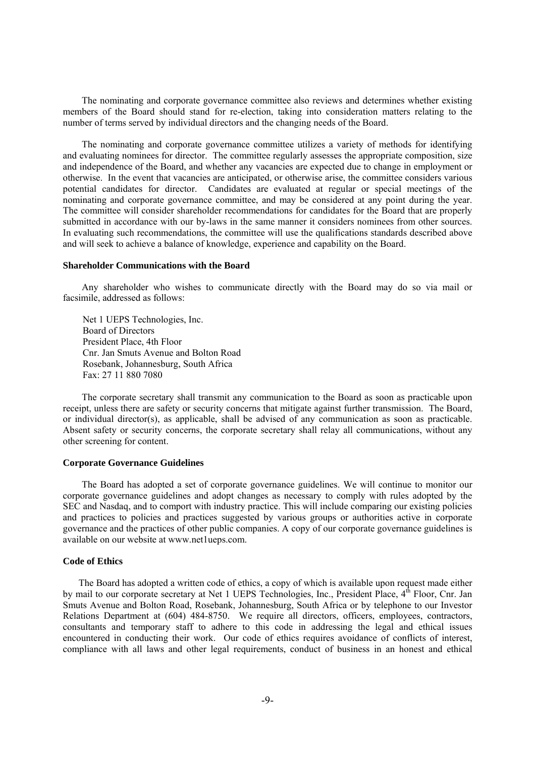The nominating and corporate governance committee also reviews and determines whether existing members of the Board should stand for re-election, taking into consideration matters relating to the number of terms served by individual directors and the changing needs of the Board.

The nominating and corporate governance committee utilizes a variety of methods for identifying and evaluating nominees for director. The committee regularly assesses the appropriate composition, size and independence of the Board, and whether any vacancies are expected due to change in employment or otherwise. In the event that vacancies are anticipated, or otherwise arise, the committee considers various potential candidates for director. Candidates are evaluated at regular or special meetings of the nominating and corporate governance committee, and may be considered at any point during the year. The committee will consider shareholder recommendations for candidates for the Board that are properly submitted in accordance with our by-laws in the same manner it considers nominees from other sources. In evaluating such recommendations, the committee will use the qualifications standards described above and will seek to achieve a balance of knowledge, experience and capability on the Board.

#### **Shareholder Communications with the Board**

Any shareholder who wishes to communicate directly with the Board may do so via mail or facsimile, addressed as follows:

Net 1 UEPS Technologies, Inc. Board of Directors President Place, 4th Floor Cnr. Jan Smuts Avenue and Bolton Road Rosebank, Johannesburg, South Africa Fax: 27 11 880 7080

The corporate secretary shall transmit any communication to the Board as soon as practicable upon receipt, unless there are safety or security concerns that mitigate against further transmission. The Board, or individual director(s), as applicable, shall be advised of any communication as soon as practicable. Absent safety or security concerns, the corporate secretary shall relay all communications, without any other screening for content.

## **Corporate Governance Guidelines**

The Board has adopted a set of corporate governance guidelines. We will continue to monitor our corporate governance guidelines and adopt changes as necessary to comply with rules adopted by the SEC and Nasdaq, and to comport with industry practice. This will include comparing our existing policies and practices to policies and practices suggested by various groups or authorities active in corporate governance and the practices of other public companies. A copy of our corporate governance guidelines is available on our website at www.net1ueps.com.

#### **Code of Ethics**

The Board has adopted a written code of ethics, a copy of which is available upon request made either by mail to our corporate secretary at Net 1 UEPS Technologies, Inc., President Place, 4<sup>th</sup> Floor, Cnr. Jan Smuts Avenue and Bolton Road, Rosebank, Johannesburg, South Africa or by telephone to our Investor Relations Department at (604) 484-8750. We require all directors, officers, employees, contractors, consultants and temporary staff to adhere to this code in addressing the legal and ethical issues encountered in conducting their work. Our code of ethics requires avoidance of conflicts of interest, compliance with all laws and other legal requirements, conduct of business in an honest and ethical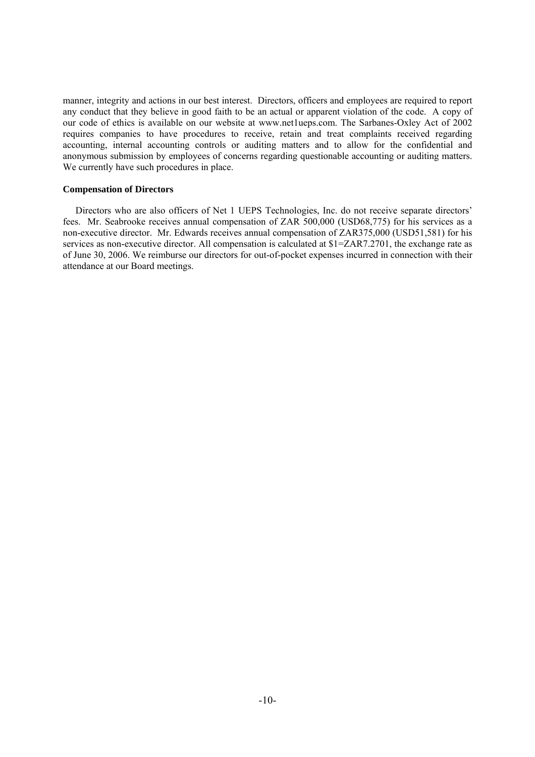manner, integrity and actions in our best interest. Directors, officers and employees are required to report any conduct that they believe in good faith to be an actual or apparent violation of the code. A copy of our code of ethics is available on our website at www.net1ueps.com. The Sarbanes-Oxley Act of 2002 requires companies to have procedures to receive, retain and treat complaints received regarding accounting, internal accounting controls or auditing matters and to allow for the confidential and anonymous submission by employees of concerns regarding questionable accounting or auditing matters. We currently have such procedures in place.

## **Compensation of Directors**

Directors who are also officers of Net 1 UEPS Technologies, Inc. do not receive separate directors' fees. Mr. Seabrooke receives annual compensation of ZAR 500,000 (USD68,775) for his services as a non-executive director. Mr. Edwards receives annual compensation of ZAR375,000 (USD51,581) for his services as non-executive director. All compensation is calculated at \$1=ZAR7.2701, the exchange rate as of June 30, 2006. We reimburse our directors for out-of-pocket expenses incurred in connection with their attendance at our Board meetings.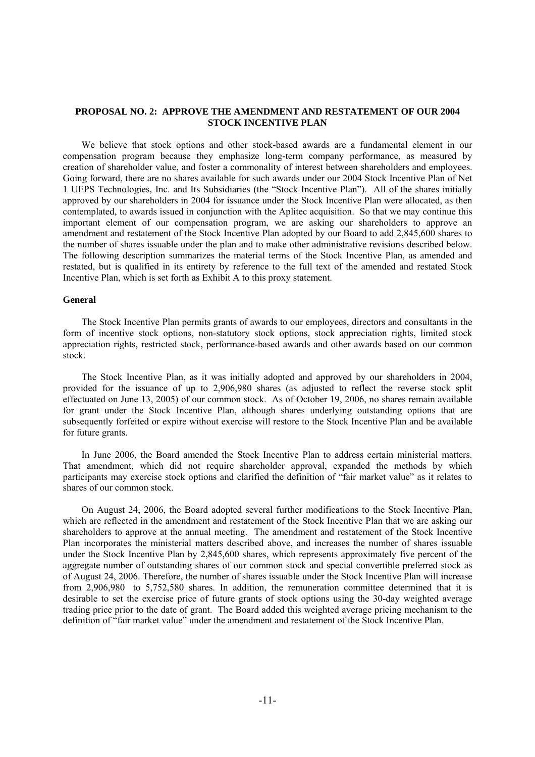## **PROPOSAL NO. 2: APPROVE THE AMENDMENT AND RESTATEMENT OF OUR 2004 STOCK INCENTIVE PLAN**

We believe that stock options and other stock-based awards are a fundamental element in our compensation program because they emphasize long-term company performance, as measured by creation of shareholder value, and foster a commonality of interest between shareholders and employees. Going forward, there are no shares available for such awards under our 2004 Stock Incentive Plan of Net 1 UEPS Technologies, Inc. and Its Subsidiaries (the "Stock Incentive Plan"). All of the shares initially approved by our shareholders in 2004 for issuance under the Stock Incentive Plan were allocated, as then contemplated, to awards issued in conjunction with the Aplitec acquisition. So that we may continue this important element of our compensation program, we are asking our shareholders to approve an amendment and restatement of the Stock Incentive Plan adopted by our Board to add 2,845,600 shares to the number of shares issuable under the plan and to make other administrative revisions described below. The following description summarizes the material terms of the Stock Incentive Plan, as amended and restated, but is qualified in its entirety by reference to the full text of the amended and restated Stock Incentive Plan, which is set forth as Exhibit A to this proxy statement.

### **General**

The Stock Incentive Plan permits grants of awards to our employees, directors and consultants in the form of incentive stock options, non-statutory stock options, stock appreciation rights, limited stock appreciation rights, restricted stock, performance-based awards and other awards based on our common stock.

The Stock Incentive Plan, as it was initially adopted and approved by our shareholders in 2004, provided for the issuance of up to 2,906,980 shares (as adjusted to reflect the reverse stock split effectuated on June 13, 2005) of our common stock. As of October 19, 2006, no shares remain available for grant under the Stock Incentive Plan, although shares underlying outstanding options that are subsequently forfeited or expire without exercise will restore to the Stock Incentive Plan and be available for future grants.

In June 2006, the Board amended the Stock Incentive Plan to address certain ministerial matters. That amendment, which did not require shareholder approval, expanded the methods by which participants may exercise stock options and clarified the definition of "fair market value" as it relates to shares of our common stock.

On August 24, 2006, the Board adopted several further modifications to the Stock Incentive Plan, which are reflected in the amendment and restatement of the Stock Incentive Plan that we are asking our shareholders to approve at the annual meeting. The amendment and restatement of the Stock Incentive Plan incorporates the ministerial matters described above, and increases the number of shares issuable under the Stock Incentive Plan by 2,845,600 shares, which represents approximately five percent of the aggregate number of outstanding shares of our common stock and special convertible preferred stock as of August 24, 2006. Therefore, the number of shares issuable under the Stock Incentive Plan will increase from 2,906,980 to 5,752,580 shares. In addition, the remuneration committee determined that it is desirable to set the exercise price of future grants of stock options using the 30-day weighted average trading price prior to the date of grant. The Board added this weighted average pricing mechanism to the definition of "fair market value" under the amendment and restatement of the Stock Incentive Plan.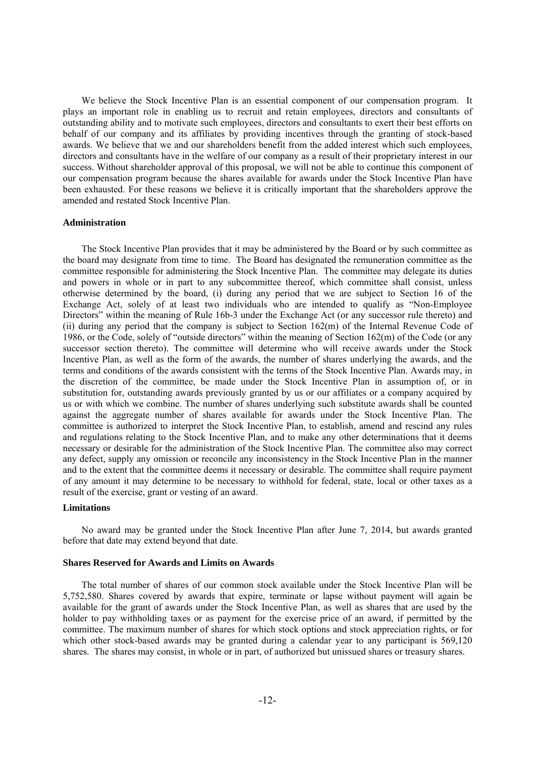We believe the Stock Incentive Plan is an essential component of our compensation program. It plays an important role in enabling us to recruit and retain employees, directors and consultants of outstanding ability and to motivate such employees, directors and consultants to exert their best efforts on behalf of our company and its affiliates by providing incentives through the granting of stock-based awards. We believe that we and our shareholders benefit from the added interest which such employees, directors and consultants have in the welfare of our company as a result of their proprietary interest in our success. Without shareholder approval of this proposal, we will not be able to continue this component of our compensation program because the shares available for awards under the Stock Incentive Plan have been exhausted. For these reasons we believe it is critically important that the shareholders approve the amended and restated Stock Incentive Plan.

## **Administration**

The Stock Incentive Plan provides that it may be administered by the Board or by such committee as the board may designate from time to time. The Board has designated the remuneration committee as the committee responsible for administering the Stock Incentive Plan. The committee may delegate its duties and powers in whole or in part to any subcommittee thereof, which committee shall consist, unless otherwise determined by the board, (i) during any period that we are subject to Section 16 of the Exchange Act, solely of at least two individuals who are intended to qualify as "Non-Employee Directors" within the meaning of Rule 16b-3 under the Exchange Act (or any successor rule thereto) and (ii) during any period that the company is subject to Section 162(m) of the Internal Revenue Code of 1986, or the Code, solely of "outside directors" within the meaning of Section 162(m) of the Code (or any successor section thereto). The committee will determine who will receive awards under the Stock Incentive Plan, as well as the form of the awards, the number of shares underlying the awards, and the terms and conditions of the awards consistent with the terms of the Stock Incentive Plan. Awards may, in the discretion of the committee, be made under the Stock Incentive Plan in assumption of, or in substitution for, outstanding awards previously granted by us or our affiliates or a company acquired by us or with which we combine. The number of shares underlying such substitute awards shall be counted against the aggregate number of shares available for awards under the Stock Incentive Plan. The committee is authorized to interpret the Stock Incentive Plan, to establish, amend and rescind any rules and regulations relating to the Stock Incentive Plan, and to make any other determinations that it deems necessary or desirable for the administration of the Stock Incentive Plan. The committee also may correct any defect, supply any omission or reconcile any inconsistency in the Stock Incentive Plan in the manner and to the extent that the committee deems it necessary or desirable. The committee shall require payment of any amount it may determine to be necessary to withhold for federal, state, local or other taxes as a result of the exercise, grant or vesting of an award.

## **Limitations**

No award may be granted under the Stock Incentive Plan after June 7, 2014, but awards granted before that date may extend beyond that date.

#### **Shares Reserved for Awards and Limits on Awards**

The total number of shares of our common stock available under the Stock Incentive Plan will be 5,752,580. Shares covered by awards that expire, terminate or lapse without payment will again be available for the grant of awards under the Stock Incentive Plan, as well as shares that are used by the holder to pay withholding taxes or as payment for the exercise price of an award, if permitted by the committee. The maximum number of shares for which stock options and stock appreciation rights, or for which other stock-based awards may be granted during a calendar year to any participant is 569,120 shares. The shares may consist, in whole or in part, of authorized but unissued shares or treasury shares.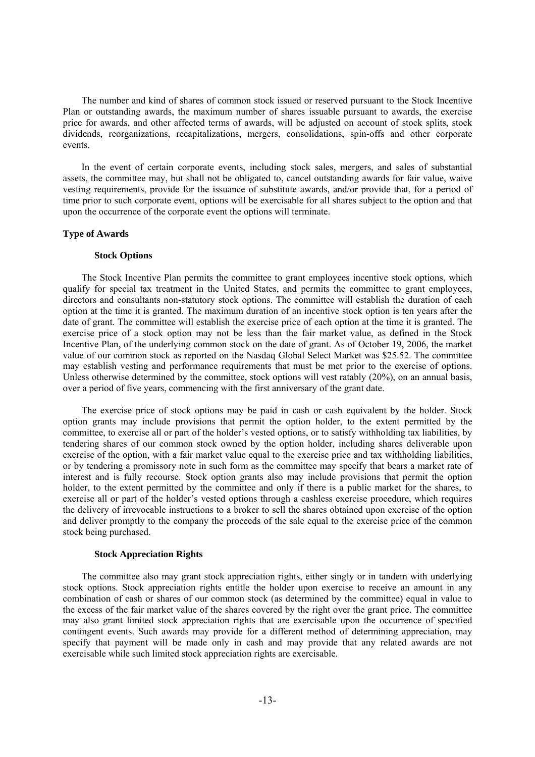The number and kind of shares of common stock issued or reserved pursuant to the Stock Incentive Plan or outstanding awards, the maximum number of shares issuable pursuant to awards, the exercise price for awards, and other affected terms of awards, will be adjusted on account of stock splits, stock dividends, reorganizations, recapitalizations, mergers, consolidations, spin-offs and other corporate events.

In the event of certain corporate events, including stock sales, mergers, and sales of substantial assets, the committee may, but shall not be obligated to, cancel outstanding awards for fair value, waive vesting requirements, provide for the issuance of substitute awards, and/or provide that, for a period of time prior to such corporate event, options will be exercisable for all shares subject to the option and that upon the occurrence of the corporate event the options will terminate.

## **Type of Awards**

## **Stock Options**

The Stock Incentive Plan permits the committee to grant employees incentive stock options, which qualify for special tax treatment in the United States, and permits the committee to grant employees, directors and consultants non-statutory stock options. The committee will establish the duration of each option at the time it is granted. The maximum duration of an incentive stock option is ten years after the date of grant. The committee will establish the exercise price of each option at the time it is granted. The exercise price of a stock option may not be less than the fair market value, as defined in the Stock Incentive Plan, of the underlying common stock on the date of grant. As of October 19, 2006, the market value of our common stock as reported on the Nasdaq Global Select Market was \$25.52. The committee may establish vesting and performance requirements that must be met prior to the exercise of options. Unless otherwise determined by the committee, stock options will vest ratably (20%), on an annual basis, over a period of five years, commencing with the first anniversary of the grant date.

The exercise price of stock options may be paid in cash or cash equivalent by the holder. Stock option grants may include provisions that permit the option holder, to the extent permitted by the committee, to exercise all or part of the holder's vested options, or to satisfy withholding tax liabilities, by tendering shares of our common stock owned by the option holder, including shares deliverable upon exercise of the option, with a fair market value equal to the exercise price and tax withholding liabilities, or by tendering a promissory note in such form as the committee may specify that bears a market rate of interest and is fully recourse. Stock option grants also may include provisions that permit the option holder, to the extent permitted by the committee and only if there is a public market for the shares, to exercise all or part of the holder's vested options through a cashless exercise procedure, which requires the delivery of irrevocable instructions to a broker to sell the shares obtained upon exercise of the option and deliver promptly to the company the proceeds of the sale equal to the exercise price of the common stock being purchased.

## **Stock Appreciation Rights**

The committee also may grant stock appreciation rights, either singly or in tandem with underlying stock options. Stock appreciation rights entitle the holder upon exercise to receive an amount in any combination of cash or shares of our common stock (as determined by the committee) equal in value to the excess of the fair market value of the shares covered by the right over the grant price. The committee may also grant limited stock appreciation rights that are exercisable upon the occurrence of specified contingent events. Such awards may provide for a different method of determining appreciation, may specify that payment will be made only in cash and may provide that any related awards are not exercisable while such limited stock appreciation rights are exercisable.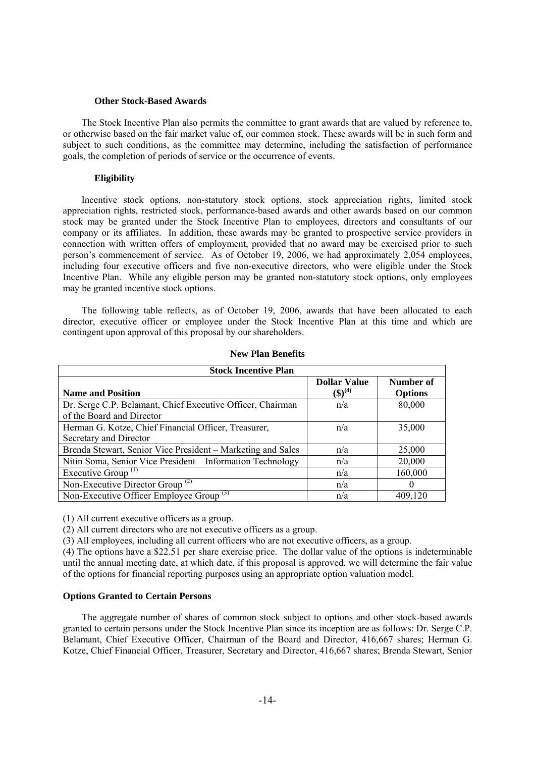#### **Other Stock-Based Awards**

The Stock Incentive Plan also permits the committee to grant awards that are valued by reference to, or otherwise based on the fair market value of, our common stock. These awards will be in such form and subject to such conditions, as the committee may determine, including the satisfaction of performance goals, the completion of periods of service or the occurrence of events.

## **Eligibility**

Incentive stock options, non-statutory stock options, stock appreciation rights, limited stock appreciation rights, restricted stock, performance-based awards and other awards based on our common stock may be granted under the Stock Incentive Plan to employees, directors and consultants of our company or its affiliates. In addition, these awards may be granted to prospective service providers in connection with written offers of employment, provided that no award may be exercised prior to such person's commencement of service. As of October 19, 2006, we had approximately 2,054 employees, including four executive officers and five non-executive directors, who were eligible under the Stock Incentive Plan. While any eligible person may be granted non-statutory stock options, only employees may be granted incentive stock options.

The following table reflects, as of October 19, 2006, awards that have been allocated to each director, executive officer or employee under the Stock Incentive Plan at this time and which are contingent upon approval of this proposal by our shareholders.

| <b>Stock Incentive Plan</b>                                 |                                  |                |  |  |  |
|-------------------------------------------------------------|----------------------------------|----------------|--|--|--|
|                                                             | <b>Dollar Value</b>              | Number of      |  |  |  |
| <b>Name and Position</b>                                    | $\left( \text{\$}\right) ^{(4)}$ | <b>Options</b> |  |  |  |
| Dr. Serge C.P. Belamant, Chief Executive Officer, Chairman  | n/a                              | 80,000         |  |  |  |
| of the Board and Director                                   |                                  |                |  |  |  |
| Herman G. Kotze, Chief Financial Officer, Treasurer,        | n/a                              | 35,000         |  |  |  |
| Secretary and Director                                      |                                  |                |  |  |  |
| Brenda Stewart, Senior Vice President – Marketing and Sales | n/a                              | 25,000         |  |  |  |
| Nitin Soma, Senior Vice President - Information Technology  | n/a                              | 20,000         |  |  |  |
| Executive Group <sup><math>(1)</math></sup>                 | n/a                              | 160,000        |  |  |  |
| Non-Executive Director Group $^{(2)}$                       | n/a                              |                |  |  |  |
| Non-Executive Officer Employee Group $(3)$                  | n/a                              | 409,120        |  |  |  |

## **New Plan Benefits**

(1) All current executive officers as a group.

(2) All current directors who are not executive officers as a group.

(3) All employees, including all current officers who are not executive officers, as a group.

(4) The options have a \$22.51 per share exercise price. The dollar value of the options is indeterminable until the annual meeting date, at which date, if this proposal is approved, we will determine the fair value of the options for financial reporting purposes using an appropriate option valuation model.

# **Options Granted to Certain Persons**

The aggregate number of shares of common stock subject to options and other stock-based awards granted to certain persons under the Stock Incentive Plan since its inception are as follows: Dr. Serge C.P. Belamant, Chief Executive Officer, Chairman of the Board and Director, 416,667 shares; Herman G. Kotze, Chief Financial Officer, Treasurer, Secretary and Director, 416,667 shares; Brenda Stewart, Senior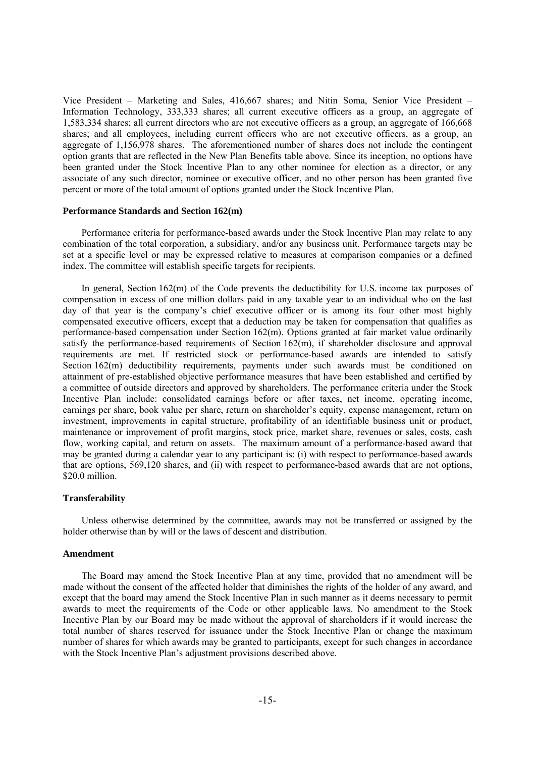Vice President – Marketing and Sales, 416,667 shares; and Nitin Soma, Senior Vice President – Information Technology, 333,333 shares; all current executive officers as a group, an aggregate of 1,583,334 shares; all current directors who are not executive officers as a group, an aggregate of 166,668 shares; and all employees, including current officers who are not executive officers, as a group, an aggregate of 1,156,978 shares. The aforementioned number of shares does not include the contingent option grants that are reflected in the New Plan Benefits table above. Since its inception, no options have been granted under the Stock Incentive Plan to any other nominee for election as a director, or any associate of any such director, nominee or executive officer, and no other person has been granted five percent or more of the total amount of options granted under the Stock Incentive Plan.

### **Performance Standards and Section 162(m)**

Performance criteria for performance-based awards under the Stock Incentive Plan may relate to any combination of the total corporation, a subsidiary, and/or any business unit. Performance targets may be set at a specific level or may be expressed relative to measures at comparison companies or a defined index. The committee will establish specific targets for recipients.

In general, Section 162(m) of the Code prevents the deductibility for U.S. income tax purposes of compensation in excess of one million dollars paid in any taxable year to an individual who on the last day of that year is the company's chief executive officer or is among its four other most highly compensated executive officers, except that a deduction may be taken for compensation that qualifies as performance-based compensation under Section 162(m). Options granted at fair market value ordinarily satisfy the performance-based requirements of Section  $162(m)$ , if shareholder disclosure and approval requirements are met. If restricted stock or performance-based awards are intended to satisfy Section 162(m) deductibility requirements, payments under such awards must be conditioned on attainment of pre-established objective performance measures that have been established and certified by a committee of outside directors and approved by shareholders. The performance criteria under the Stock Incentive Plan include: consolidated earnings before or after taxes, net income, operating income, earnings per share, book value per share, return on shareholder's equity, expense management, return on investment, improvements in capital structure, profitability of an identifiable business unit or product, maintenance or improvement of profit margins, stock price, market share, revenues or sales, costs, cash flow, working capital, and return on assets. The maximum amount of a performance-based award that may be granted during a calendar year to any participant is: (i) with respect to performance-based awards that are options, 569,120 shares, and (ii) with respect to performance-based awards that are not options, \$20.0 million.

## **Transferability**

Unless otherwise determined by the committee, awards may not be transferred or assigned by the holder otherwise than by will or the laws of descent and distribution.

## **Amendment**

The Board may amend the Stock Incentive Plan at any time, provided that no amendment will be made without the consent of the affected holder that diminishes the rights of the holder of any award, and except that the board may amend the Stock Incentive Plan in such manner as it deems necessary to permit awards to meet the requirements of the Code or other applicable laws. No amendment to the Stock Incentive Plan by our Board may be made without the approval of shareholders if it would increase the total number of shares reserved for issuance under the Stock Incentive Plan or change the maximum number of shares for which awards may be granted to participants, except for such changes in accordance with the Stock Incentive Plan's adjustment provisions described above.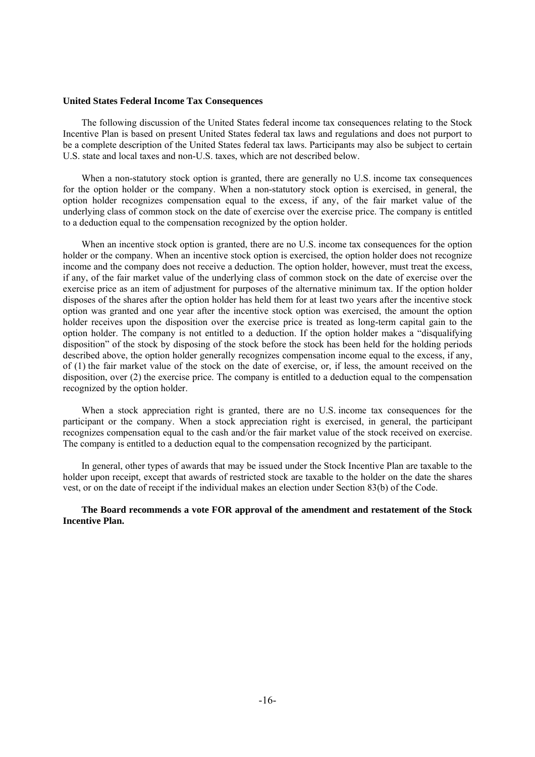#### **United States Federal Income Tax Consequences**

The following discussion of the United States federal income tax consequences relating to the Stock Incentive Plan is based on present United States federal tax laws and regulations and does not purport to be a complete description of the United States federal tax laws. Participants may also be subject to certain U.S. state and local taxes and non-U.S. taxes, which are not described below.

When a non-statutory stock option is granted, there are generally no U.S. income tax consequences for the option holder or the company. When a non-statutory stock option is exercised, in general, the option holder recognizes compensation equal to the excess, if any, of the fair market value of the underlying class of common stock on the date of exercise over the exercise price. The company is entitled to a deduction equal to the compensation recognized by the option holder.

When an incentive stock option is granted, there are no U.S. income tax consequences for the option holder or the company. When an incentive stock option is exercised, the option holder does not recognize income and the company does not receive a deduction. The option holder, however, must treat the excess, if any, of the fair market value of the underlying class of common stock on the date of exercise over the exercise price as an item of adjustment for purposes of the alternative minimum tax. If the option holder disposes of the shares after the option holder has held them for at least two years after the incentive stock option was granted and one year after the incentive stock option was exercised, the amount the option holder receives upon the disposition over the exercise price is treated as long-term capital gain to the option holder. The company is not entitled to a deduction. If the option holder makes a "disqualifying disposition" of the stock by disposing of the stock before the stock has been held for the holding periods described above, the option holder generally recognizes compensation income equal to the excess, if any, of (1) the fair market value of the stock on the date of exercise, or, if less, the amount received on the disposition, over (2) the exercise price. The company is entitled to a deduction equal to the compensation recognized by the option holder.

When a stock appreciation right is granted, there are no U.S. income tax consequences for the participant or the company. When a stock appreciation right is exercised, in general, the participant recognizes compensation equal to the cash and/or the fair market value of the stock received on exercise. The company is entitled to a deduction equal to the compensation recognized by the participant.

In general, other types of awards that may be issued under the Stock Incentive Plan are taxable to the holder upon receipt, except that awards of restricted stock are taxable to the holder on the date the shares vest, or on the date of receipt if the individual makes an election under Section 83(b) of the Code.

**The Board recommends a vote FOR approval of the amendment and restatement of the Stock Incentive Plan.**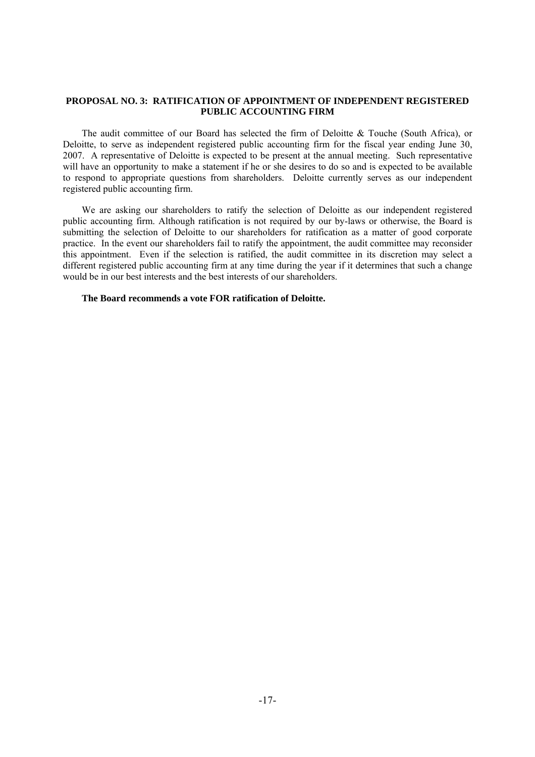## **PROPOSAL NO. 3: RATIFICATION OF APPOINTMENT OF INDEPENDENT REGISTERED PUBLIC ACCOUNTING FIRM**

The audit committee of our Board has selected the firm of Deloitte & Touche (South Africa), or Deloitte, to serve as independent registered public accounting firm for the fiscal year ending June 30, 2007. A representative of Deloitte is expected to be present at the annual meeting. Such representative will have an opportunity to make a statement if he or she desires to do so and is expected to be available to respond to appropriate questions from shareholders. Deloitte currently serves as our independent registered public accounting firm.

We are asking our shareholders to ratify the selection of Deloitte as our independent registered public accounting firm. Although ratification is not required by our by-laws or otherwise, the Board is submitting the selection of Deloitte to our shareholders for ratification as a matter of good corporate practice. In the event our shareholders fail to ratify the appointment, the audit committee may reconsider this appointment. Even if the selection is ratified, the audit committee in its discretion may select a different registered public accounting firm at any time during the year if it determines that such a change would be in our best interests and the best interests of our shareholders.

## **The Board recommends a vote FOR ratification of Deloitte.**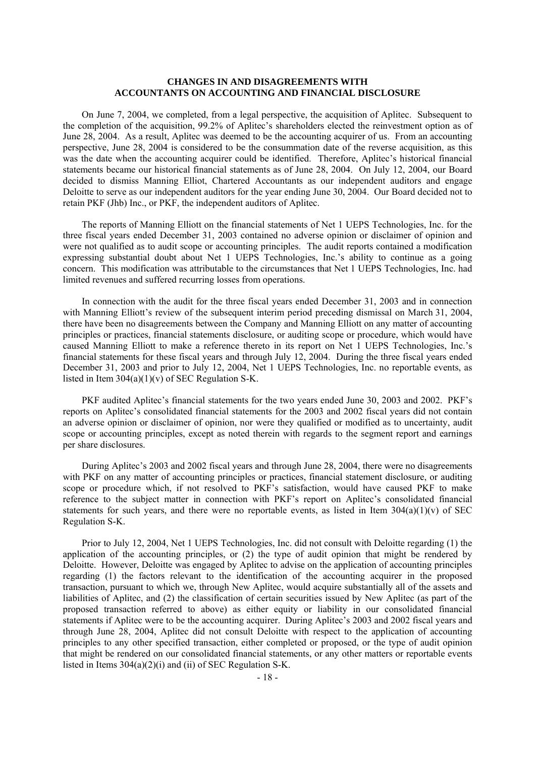# **CHANGES IN AND DISAGREEMENTS WITH ACCOUNTANTS ON ACCOUNTING AND FINANCIAL DISCLOSURE**

On June 7, 2004, we completed, from a legal perspective, the acquisition of Aplitec. Subsequent to the completion of the acquisition, 99.2% of Aplitec's shareholders elected the reinvestment option as of June 28, 2004. As a result, Aplitec was deemed to be the accounting acquirer of us. From an accounting perspective, June 28, 2004 is considered to be the consummation date of the reverse acquisition, as this was the date when the accounting acquirer could be identified. Therefore, Aplitec's historical financial statements became our historical financial statements as of June 28, 2004. On July 12, 2004, our Board decided to dismiss Manning Elliot, Chartered Accountants as our independent auditors and engage Deloitte to serve as our independent auditors for the year ending June 30, 2004. Our Board decided not to retain PKF (Jhb) Inc., or PKF, the independent auditors of Aplitec.

The reports of Manning Elliott on the financial statements of Net 1 UEPS Technologies, Inc. for the three fiscal years ended December 31, 2003 contained no adverse opinion or disclaimer of opinion and were not qualified as to audit scope or accounting principles. The audit reports contained a modification expressing substantial doubt about Net 1 UEPS Technologies, Inc.'s ability to continue as a going concern. This modification was attributable to the circumstances that Net 1 UEPS Technologies, Inc. had limited revenues and suffered recurring losses from operations.

In connection with the audit for the three fiscal years ended December 31, 2003 and in connection with Manning Elliott's review of the subsequent interim period preceding dismissal on March 31, 2004, there have been no disagreements between the Company and Manning Elliott on any matter of accounting principles or practices, financial statements disclosure, or auditing scope or procedure, which would have caused Manning Elliott to make a reference thereto in its report on Net 1 UEPS Technologies, Inc.'s financial statements for these fiscal years and through July 12, 2004. During the three fiscal years ended December 31, 2003 and prior to July 12, 2004, Net 1 UEPS Technologies, Inc. no reportable events, as listed in Item  $304(a)(1)(v)$  of SEC Regulation S-K.

PKF audited Aplitec's financial statements for the two years ended June 30, 2003 and 2002. PKF's reports on Aplitec's consolidated financial statements for the 2003 and 2002 fiscal years did not contain an adverse opinion or disclaimer of opinion, nor were they qualified or modified as to uncertainty, audit scope or accounting principles, except as noted therein with regards to the segment report and earnings per share disclosures.

During Aplitec's 2003 and 2002 fiscal years and through June 28, 2004, there were no disagreements with PKF on any matter of accounting principles or practices, financial statement disclosure, or auditing scope or procedure which, if not resolved to PKF's satisfaction, would have caused PKF to make reference to the subject matter in connection with PKF's report on Aplitec's consolidated financial statements for such years, and there were no reportable events, as listed in Item  $304(a)(1)(v)$  of SEC Regulation S-K.

Prior to July 12, 2004, Net 1 UEPS Technologies, Inc. did not consult with Deloitte regarding (1) the application of the accounting principles, or (2) the type of audit opinion that might be rendered by Deloitte. However, Deloitte was engaged by Aplitec to advise on the application of accounting principles regarding (1) the factors relevant to the identification of the accounting acquirer in the proposed transaction, pursuant to which we, through New Aplitec, would acquire substantially all of the assets and liabilities of Aplitec, and (2) the classification of certain securities issued by New Aplitec (as part of the proposed transaction referred to above) as either equity or liability in our consolidated financial statements if Aplitec were to be the accounting acquirer. During Aplitec's 2003 and 2002 fiscal years and through June 28, 2004, Aplitec did not consult Deloitte with respect to the application of accounting principles to any other specified transaction, either completed or proposed, or the type of audit opinion that might be rendered on our consolidated financial statements, or any other matters or reportable events listed in Items 304(a)(2)(i) and (ii) of SEC Regulation S-K.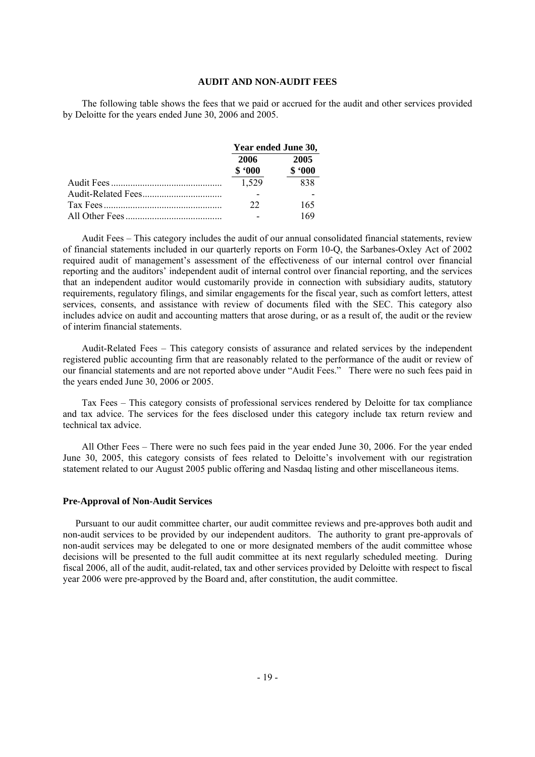### **AUDIT AND NON-AUDIT FEES**

The following table shows the fees that we paid or accrued for the audit and other services provided by Deloitte for the years ended June 30, 2006 and 2005.

| Year ended June 30, |                |  |
|---------------------|----------------|--|
| 2006<br>\$.000      | 2005<br>\$.000 |  |
| 1,529               | 838            |  |
|                     |                |  |
| 22                  | 165            |  |
|                     | 169            |  |

Audit Fees – This category includes the audit of our annual consolidated financial statements, review of financial statements included in our quarterly reports on Form 10-Q, the Sarbanes-Oxley Act of 2002 required audit of management's assessment of the effectiveness of our internal control over financial reporting and the auditors' independent audit of internal control over financial reporting, and the services that an independent auditor would customarily provide in connection with subsidiary audits, statutory requirements, regulatory filings, and similar engagements for the fiscal year, such as comfort letters, attest services, consents, and assistance with review of documents filed with the SEC. This category also includes advice on audit and accounting matters that arose during, or as a result of, the audit or the review of interim financial statements.

Audit-Related Fees – This category consists of assurance and related services by the independent registered public accounting firm that are reasonably related to the performance of the audit or review of our financial statements and are not reported above under "Audit Fees." There were no such fees paid in the years ended June 30, 2006 or 2005.

Tax Fees – This category consists of professional services rendered by Deloitte for tax compliance and tax advice. The services for the fees disclosed under this category include tax return review and technical tax advice.

All Other Fees – There were no such fees paid in the year ended June 30, 2006. For the year ended June 30, 2005, this category consists of fees related to Deloitte's involvement with our registration statement related to our August 2005 public offering and Nasdaq listing and other miscellaneous items.

#### **Pre-Approval of Non-Audit Services**

Pursuant to our audit committee charter, our audit committee reviews and pre-approves both audit and non-audit services to be provided by our independent auditors. The authority to grant pre-approvals of non-audit services may be delegated to one or more designated members of the audit committee whose decisions will be presented to the full audit committee at its next regularly scheduled meeting. During fiscal 2006, all of the audit, audit-related, tax and other services provided by Deloitte with respect to fiscal year 2006 were pre-approved by the Board and, after constitution, the audit committee.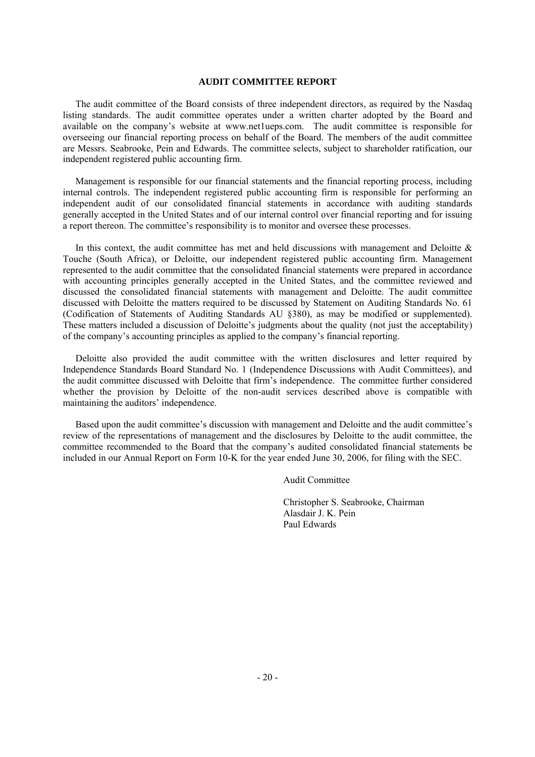#### **AUDIT COMMITTEE REPORT**

The audit committee of the Board consists of three independent directors, as required by the Nasdaq listing standards. The audit committee operates under a written charter adopted by the Board and available on the company's website at www.net1ueps.com. The audit committee is responsible for overseeing our financial reporting process on behalf of the Board. The members of the audit committee are Messrs. Seabrooke, Pein and Edwards. The committee selects, subject to shareholder ratification, our independent registered public accounting firm.

Management is responsible for our financial statements and the financial reporting process, including internal controls. The independent registered public accounting firm is responsible for performing an independent audit of our consolidated financial statements in accordance with auditing standards generally accepted in the United States and of our internal control over financial reporting and for issuing a report thereon. The committee's responsibility is to monitor and oversee these processes.

In this context, the audit committee has met and held discussions with management and Deloitte  $\&$ Touche (South Africa), or Deloitte, our independent registered public accounting firm. Management represented to the audit committee that the consolidated financial statements were prepared in accordance with accounting principles generally accepted in the United States, and the committee reviewed and discussed the consolidated financial statements with management and Deloitte. The audit committee discussed with Deloitte the matters required to be discussed by Statement on Auditing Standards No. 61 (Codification of Statements of Auditing Standards AU §380), as may be modified or supplemented). These matters included a discussion of Deloitte's judgments about the quality (not just the acceptability) of the company's accounting principles as applied to the company's financial reporting.

Deloitte also provided the audit committee with the written disclosures and letter required by Independence Standards Board Standard No. 1 (Independence Discussions with Audit Committees), and the audit committee discussed with Deloitte that firm's independence. The committee further considered whether the provision by Deloitte of the non-audit services described above is compatible with maintaining the auditors' independence.

Based upon the audit committee's discussion with management and Deloitte and the audit committee's review of the representations of management and the disclosures by Deloitte to the audit committee, the committee recommended to the Board that the company's audited consolidated financial statements be included in our Annual Report on Form 10-K for the year ended June 30, 2006, for filing with the SEC.

Audit Committee

 Christopher S. Seabrooke, Chairman Alasdair J. K. Pein Paul Edwards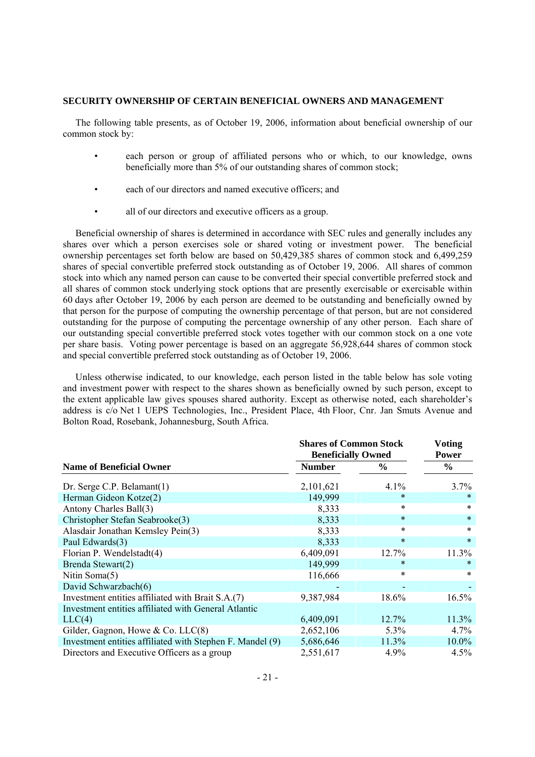#### **SECURITY OWNERSHIP OF CERTAIN BENEFICIAL OWNERS AND MANAGEMENT**

The following table presents, as of October 19, 2006, information about beneficial ownership of our common stock by:

- each person or group of affiliated persons who or which, to our knowledge, owns beneficially more than 5% of our outstanding shares of common stock;
- each of our directors and named executive officers; and
- all of our directors and executive officers as a group.

Beneficial ownership of shares is determined in accordance with SEC rules and generally includes any shares over which a person exercises sole or shared voting or investment power. The beneficial ownership percentages set forth below are based on 50,429,385 shares of common stock and 6,499,259 shares of special convertible preferred stock outstanding as of October 19, 2006. All shares of common stock into which any named person can cause to be converted their special convertible preferred stock and all shares of common stock underlying stock options that are presently exercisable or exercisable within 60 days after October 19, 2006 by each person are deemed to be outstanding and beneficially owned by that person for the purpose of computing the ownership percentage of that person, but are not considered outstanding for the purpose of computing the percentage ownership of any other person. Each share of our outstanding special convertible preferred stock votes together with our common stock on a one vote per share basis. Voting power percentage is based on an aggregate 56,928,644 shares of common stock and special convertible preferred stock outstanding as of October 19, 2006.

Unless otherwise indicated, to our knowledge, each person listed in the table below has sole voting and investment power with respect to the shares shown as beneficially owned by such person, except to the extent applicable law gives spouses shared authority. Except as otherwise noted, each shareholder's address is c/o Net 1 UEPS Technologies, Inc., President Place, 4th Floor, Cnr. Jan Smuts Avenue and Bolton Road, Rosebank, Johannesburg, South Africa.

|                                                           | <b>Shares of Common Stock</b> | <b>Voting</b> |               |  |
|-----------------------------------------------------------|-------------------------------|---------------|---------------|--|
|                                                           | <b>Beneficially Owned</b>     | <b>Power</b>  |               |  |
| <b>Name of Beneficial Owner</b>                           | <b>Number</b>                 | $\frac{6}{9}$ | $\frac{6}{9}$ |  |
| Dr. Serge C.P. Belamant(1)                                | 2,101,621                     | 4.1%          | $3.7\%$       |  |
| Herman Gideon Kotze(2)                                    | 149,999                       | *             | $\ast$        |  |
| Antony Charles Ball(3)                                    | 8,333                         | *             | $\ast$        |  |
| Christopher Stefan Seabrooke(3)                           | 8,333                         | $\ast$        | $\ast$        |  |
| Alasdair Jonathan Kemsley Pein(3)                         | 8,333                         | *             | $\ast$        |  |
| Paul Edwards(3)                                           | 8,333                         | $\ast$        | $\ast$        |  |
| Florian P. Wendelstadt(4)                                 | 6,409,091                     | 12.7%         | 11.3%         |  |
| Brenda Stewart(2)                                         | 149,999                       | *             |               |  |
| Nitin Soma(5)                                             | 116,666                       | $\ast$        | $\ast$        |  |
| David Schwarzbach(6)                                      |                               |               |               |  |
| Investment entities affiliated with Brait S.A.(7)         | 9,387,984                     | 18.6%         | 16.5%         |  |
| Investment entities affiliated with General Atlantic      |                               |               |               |  |
| LLC(4)                                                    | 6,409,091                     | 12.7%         | 11.3%         |  |
| Gilder, Gagnon, Howe & Co. $LLC(8)$                       | 2,652,106                     | 5.3%          | 4.7%          |  |
| Investment entities affiliated with Stephen F. Mandel (9) | 5,686,646                     | 11.3%         | $10.0\%$      |  |
| Directors and Executive Officers as a group               | 2,551,617                     | 4.9%          | 4.5%          |  |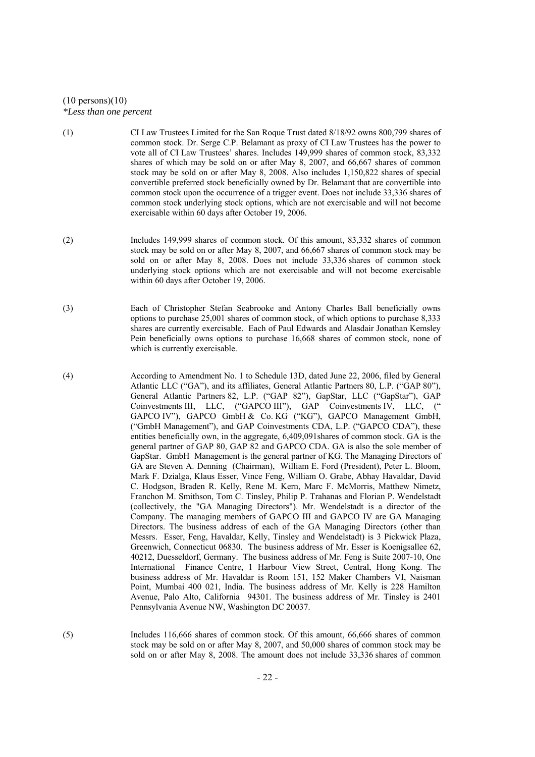# $(10 \text{ persons})(10)$ *\*Less than one percent*

- (1) CI Law Trustees Limited for the San Roque Trust dated 8/18/92 owns 800,799 shares of common stock. Dr. Serge C.P. Belamant as proxy of CI Law Trustees has the power to vote all of CI Law Trustees' shares. Includes 149,999 shares of common stock, 83,332 shares of which may be sold on or after May 8, 2007, and 66,667 shares of common stock may be sold on or after May 8, 2008. Also includes 1,150,822 shares of special convertible preferred stock beneficially owned by Dr. Belamant that are convertible into common stock upon the occurrence of a trigger event. Does not include 33,336 shares of common stock underlying stock options, which are not exercisable and will not become exercisable within 60 days after October 19, 2006.
- (2) Includes 149,999 shares of common stock. Of this amount, 83,332 shares of common stock may be sold on or after May 8, 2007, and 66,667 shares of common stock may be sold on or after May 8, 2008. Does not include 33,336 shares of common stock underlying stock options which are not exercisable and will not become exercisable within 60 days after October 19, 2006.
- (3) Each of Christopher Stefan Seabrooke and Antony Charles Ball beneficially owns options to purchase 25,001 shares of common stock, of which options to purchase 8,333 shares are currently exercisable. Each of Paul Edwards and Alasdair Jonathan Kemsley Pein beneficially owns options to purchase 16,668 shares of common stock, none of which is currently exercisable.
- (4) According to Amendment No. 1 to Schedule 13D, dated June 22, 2006, filed by General Atlantic LLC ("GA"), and its affiliates, General Atlantic Partners 80, L.P. ("GAP 80"), General Atlantic Partners 82, L.P. ("GAP 82"), GapStar, LLC ("GapStar"), GAP Coinvestments III, LLC, ("GAPCO III"), GAP Coinvestments IV, LLC, (" GAPCO IV"), GAPCO GmbH & Co. KG ("KG"), GAPCO Management GmbH, ("GmbH Management"), and GAP Coinvestments CDA, L.P. ("GAPCO CDA"), these entities beneficially own, in the aggregate, 6,409,091shares of common stock. GA is the general partner of GAP 80, GAP 82 and GAPCO CDA. GA is also the sole member of GapStar. GmbH Management is the general partner of KG. The Managing Directors of GA are Steven A. Denning (Chairman), William E. Ford (President), Peter L. Bloom, Mark F. Dzialga, Klaus Esser, Vince Feng, William O. Grabe, Abhay Havaldar, David C. Hodgson, Braden R. Kelly, Rene M. Kern, Marc F. McMorris, Matthew Nimetz, Franchon M. Smithson, Tom C. Tinsley, Philip P. Trahanas and Florian P. Wendelstadt (collectively, the "GA Managing Directors"). Mr. Wendelstadt is a director of the Company. The managing members of GAPCO III and GAPCO IV are GA Managing Directors. The business address of each of the GA Managing Directors (other than Messrs. Esser, Feng, Havaldar, Kelly, Tinsley and Wendelstadt) is 3 Pickwick Plaza, Greenwich, Connecticut 06830. The business address of Mr. Esser is Koenigsallee 62, 40212, Duesseldorf, Germany. The business address of Mr. Feng is Suite 2007-10, One International Finance Centre, 1 Harbour View Street, Central, Hong Kong. The business address of Mr. Havaldar is Room 151, 152 Maker Chambers VI, Naisman Point, Mumbai 400 021, India. The business address of Mr. Kelly is 228 Hamilton Avenue, Palo Alto, California 94301. The business address of Mr. Tinsley is 2401 Pennsylvania Avenue NW, Washington DC 20037.
- (5) Includes 116,666 shares of common stock. Of this amount, 66,666 shares of common stock may be sold on or after May 8, 2007, and 50,000 shares of common stock may be sold on or after May 8, 2008. The amount does not include 33,336 shares of common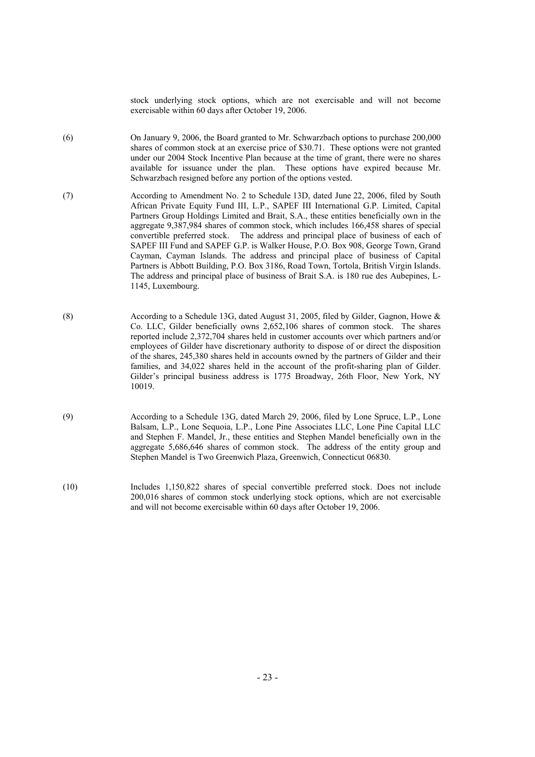stock underlying stock options, which are not exercisable and will not become exercisable within 60 days after October 19, 2006.

- (6) On January 9, 2006, the Board granted to Mr. Schwarzbach options to purchase 200,000 shares of common stock at an exercise price of \$30.71. These options were not granted under our 2004 Stock Incentive Plan because at the time of grant, there were no shares available for issuance under the plan. These options have expired because Mr. Schwarzbach resigned before any portion of the options vested.
- (7) According to Amendment No. 2 to Schedule 13D, dated June 22, 2006, filed by South African Private Equity Fund III, L.P., SAPEF III International G.P. Limited, Capital Partners Group Holdings Limited and Brait, S.A., these entities beneficially own in the aggregate 9,387,984 shares of common stock, which includes 166,458 shares of special convertible preferred stock. The address and principal place of business of each of SAPEF III Fund and SAPEF G.P. is Walker House, P.O. Box 908, George Town, Grand Cayman, Cayman Islands. The address and principal place of business of Capital Partners is Abbott Building, P.O. Box 3186, Road Town, Tortola, British Virgin Islands. The address and principal place of business of Brait S.A. is 180 rue des Aubepines, L-1145, Luxembourg.
- (8) According to a Schedule 13G, dated August 31, 2005, filed by Gilder, Gagnon, Howe & Co. LLC, Gilder beneficially owns 2,652,106 shares of common stock. The shares reported include 2,372,704 shares held in customer accounts over which partners and/or employees of Gilder have discretionary authority to dispose of or direct the disposition of the shares, 245,380 shares held in accounts owned by the partners of Gilder and their families, and 34,022 shares held in the account of the profit-sharing plan of Gilder. Gilder's principal business address is 1775 Broadway, 26th Floor, New York, NY 10019.
- (9) According to a Schedule 13G, dated March 29, 2006, filed by Lone Spruce, L.P., Lone Balsam, L.P., Lone Sequoia, L.P., Lone Pine Associates LLC, Lone Pine Capital LLC and Stephen F. Mandel, Jr., these entities and Stephen Mandel beneficially own in the aggregate 5,686,646 shares of common stock. The address of the entity group and Stephen Mandel is Two Greenwich Plaza, Greenwich, Connecticut 06830.
- (10) Includes 1,150,822 shares of special convertible preferred stock. Does not include 200,016 shares of common stock underlying stock options, which are not exercisable and will not become exercisable within 60 days after October 19, 2006.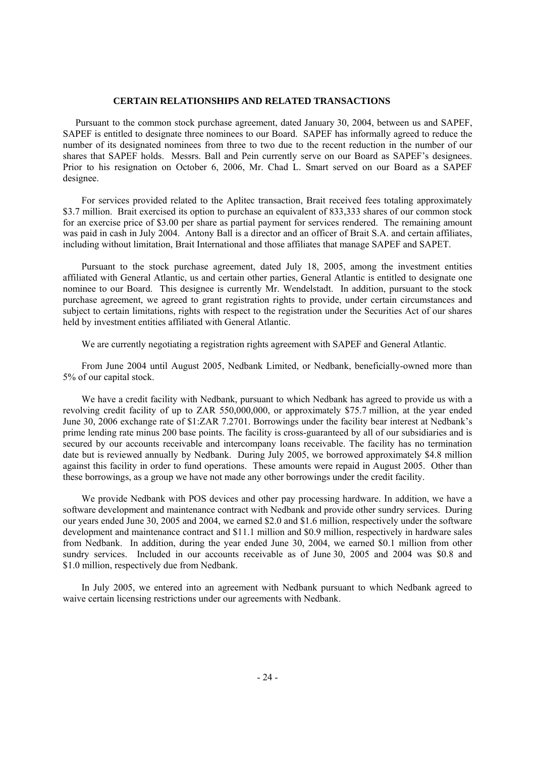#### **CERTAIN RELATIONSHIPS AND RELATED TRANSACTIONS**

Pursuant to the common stock purchase agreement, dated January 30, 2004, between us and SAPEF, SAPEF is entitled to designate three nominees to our Board. SAPEF has informally agreed to reduce the number of its designated nominees from three to two due to the recent reduction in the number of our shares that SAPEF holds. Messrs. Ball and Pein currently serve on our Board as SAPEF's designees. Prior to his resignation on October 6, 2006, Mr. Chad L. Smart served on our Board as a SAPEF designee.

For services provided related to the Aplitec transaction, Brait received fees totaling approximately \$3.7 million. Brait exercised its option to purchase an equivalent of 833,333 shares of our common stock for an exercise price of \$3.00 per share as partial payment for services rendered. The remaining amount was paid in cash in July 2004. Antony Ball is a director and an officer of Brait S.A. and certain affiliates, including without limitation, Brait International and those affiliates that manage SAPEF and SAPET.

Pursuant to the stock purchase agreement, dated July 18, 2005, among the investment entities affiliated with General Atlantic, us and certain other parties, General Atlantic is entitled to designate one nominee to our Board. This designee is currently Mr. Wendelstadt. In addition, pursuant to the stock purchase agreement, we agreed to grant registration rights to provide, under certain circumstances and subject to certain limitations, rights with respect to the registration under the Securities Act of our shares held by investment entities affiliated with General Atlantic.

We are currently negotiating a registration rights agreement with SAPEF and General Atlantic.

From June 2004 until August 2005, Nedbank Limited, or Nedbank, beneficially-owned more than 5% of our capital stock.

We have a credit facility with Nedbank, pursuant to which Nedbank has agreed to provide us with a revolving credit facility of up to ZAR 550,000,000, or approximately \$75.7 million, at the year ended June 30, 2006 exchange rate of \$1:ZAR 7.2701. Borrowings under the facility bear interest at Nedbank's prime lending rate minus 200 base points. The facility is cross-guaranteed by all of our subsidiaries and is secured by our accounts receivable and intercompany loans receivable. The facility has no termination date but is reviewed annually by Nedbank. During July 2005, we borrowed approximately \$4.8 million against this facility in order to fund operations. These amounts were repaid in August 2005. Other than these borrowings, as a group we have not made any other borrowings under the credit facility.

We provide Nedbank with POS devices and other pay processing hardware. In addition, we have a software development and maintenance contract with Nedbank and provide other sundry services. During our years ended June 30, 2005 and 2004, we earned \$2.0 and \$1.6 million, respectively under the software development and maintenance contract and \$11.1 million and \$0.9 million, respectively in hardware sales from Nedbank. In addition, during the year ended June 30, 2004, we earned \$0.1 million from other sundry services. Included in our accounts receivable as of June 30, 2005 and 2004 was \$0.8 and \$1.0 million, respectively due from Nedbank.

In July 2005, we entered into an agreement with Nedbank pursuant to which Nedbank agreed to waive certain licensing restrictions under our agreements with Nedbank.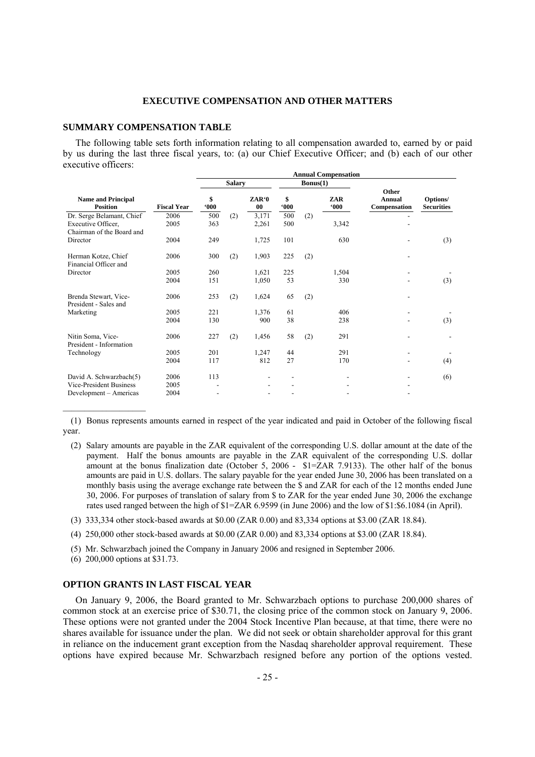#### **EXECUTIVE COMPENSATION AND OTHER MATTERS**

# **SUMMARY COMPENSATION TABLE**

The following table sets forth information relating to all compensation awarded to, earned by or paid by us during the last three fiscal years, to: (a) our Chief Executive Officer; and (b) each of our other executive officers:  **Annual Compensation** 

|                                                                              |                    |                     |        |                |            |          | лшпан сошрензацон |                                 |                               |
|------------------------------------------------------------------------------|--------------------|---------------------|--------|----------------|------------|----------|-------------------|---------------------------------|-------------------------------|
|                                                                              |                    |                     | Salary |                |            | Bonus(1) |                   |                                 |                               |
| <b>Name and Principal</b><br><b>Position</b>                                 | <b>Fiscal Year</b> | \$<br>$000^{\circ}$ |        | ZAR'0<br>00    | \$<br>000  |          | ZAR<br>000        | Other<br>Annual<br>Compensation | Options/<br><b>Securities</b> |
| Dr. Serge Belamant, Chief<br>Executive Officer,<br>Chairman of the Board and | 2006<br>2005       | 500<br>363          | (2)    | 3,171<br>2,261 | 500<br>500 | (2)      | 3,342             |                                 |                               |
| Director                                                                     | 2004               | 249                 |        | 1,725          | 101        |          | 630               |                                 | (3)                           |
| Herman Kotze, Chief<br>Financial Officer and                                 | 2006               | 300                 | (2)    | 1,903          | 225        | (2)      |                   |                                 |                               |
| Director                                                                     | 2005               | 260                 |        | 1,621          | 225        |          | 1,504             |                                 |                               |
|                                                                              | 2004               | 151                 |        | 1,050          | 53         |          | 330               |                                 | (3)                           |
| Brenda Stewart, Vice-<br>President - Sales and                               | 2006               | 253                 | (2)    | 1,624          | 65         | (2)      |                   |                                 |                               |
| Marketing                                                                    | 2005               | 221                 |        | 1,376          | 61         |          | 406               |                                 |                               |
|                                                                              | 2004               | 130                 |        | 900            | 38         |          | 238               |                                 | (3)                           |
| Nitin Soma, Vice-<br>President - Information                                 | 2006               | 227                 | (2)    | 1,456          | 58         | (2)      | 291               |                                 |                               |
| Technology                                                                   | 2005               | 201                 |        | 1,247          | 44         |          | 291               |                                 |                               |
|                                                                              | 2004               | 117                 |        | 812            | 27         |          | 170               |                                 | (4)                           |
| David A. Schwarzbach(5)                                                      | 2006               | 113                 |        |                |            |          |                   |                                 | (6)                           |
| <b>Vice-President Business</b>                                               | 2005               |                     |        |                |            |          |                   |                                 |                               |
| Development - Americas                                                       | 2004               |                     |        |                |            |          |                   |                                 |                               |

 (1) Bonus represents amounts earned in respect of the year indicated and paid in October of the following fiscal year.

- (2) Salary amounts are payable in the ZAR equivalent of the corresponding U.S. dollar amount at the date of the payment. Half the bonus amounts are payable in the ZAR equivalent of the corresponding U.S. dollar amount at the bonus finalization date (October 5, 2006 - \$1=ZAR 7.9133). The other half of the bonus amounts are paid in U.S. dollars. The salary payable for the year ended June 30, 2006 has been translated on a monthly basis using the average exchange rate between the \$ and ZAR for each of the 12 months ended June 30, 2006. For purposes of translation of salary from \$ to ZAR for the year ended June 30, 2006 the exchange rates used ranged between the high of \$1=ZAR 6.9599 (in June 2006) and the low of \$1:\$6.1084 (in April).
- (3) 333,334 other stock-based awards at \$0.00 (ZAR 0.00) and 83,334 options at \$3.00 (ZAR 18.84).
- (4) 250,000 other stock-based awards at \$0.00 (ZAR 0.00) and 83,334 options at \$3.00 (ZAR 18.84).
- (5) Mr. Schwarzbach joined the Company in January 2006 and resigned in September 2006.
- (6) 200,000 options at \$31.73.

 $\overline{\phantom{a}}$  , where  $\overline{\phantom{a}}$ 

# **OPTION GRANTS IN LAST FISCAL YEAR**

On January 9, 2006, the Board granted to Mr. Schwarzbach options to purchase 200,000 shares of common stock at an exercise price of \$30.71, the closing price of the common stock on January 9, 2006. These options were not granted under the 2004 Stock Incentive Plan because, at that time, there were no shares available for issuance under the plan. We did not seek or obtain shareholder approval for this grant in reliance on the inducement grant exception from the Nasdaq shareholder approval requirement. These options have expired because Mr. Schwarzbach resigned before any portion of the options vested.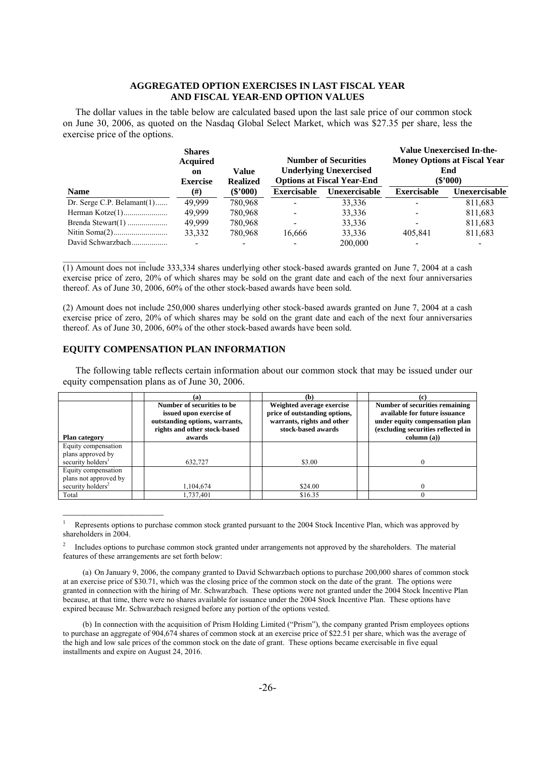## **AGGREGATED OPTION EXERCISES IN LAST FISCAL YEAR AND FISCAL YEAR-END OPTION VALUES**

The dollar values in the table below are calculated based upon the last sale price of our common stock on June 30, 2006, as quoted on the Nasdaq Global Select Market, which was \$27.35 per share, less the exercise price of the options.

|                               | <b>Shares</b><br><b>Acquired</b><br>on<br><b>Exercise</b> | Value<br><b>Realized</b> | <b>Number of Securities</b><br><b>Underlying Unexercised</b><br><b>Options at Fiscal Year-End</b> |               | Value Unexercised In-the-<br><b>Money Options at Fiscal Year</b><br>End<br>$(\$'000)$ |                      |  |
|-------------------------------|-----------------------------------------------------------|--------------------------|---------------------------------------------------------------------------------------------------|---------------|---------------------------------------------------------------------------------------|----------------------|--|
| <b>Name</b>                   | (#)                                                       | $(\$'000)$               | <b>Exercisable</b>                                                                                | Unexercisable | <b>Exercisable</b>                                                                    | <b>Unexercisable</b> |  |
| Dr. Serge C.P. Belamant $(1)$ | 49.999                                                    | 780,968                  |                                                                                                   | 33,336        |                                                                                       | 811,683              |  |
|                               | 49.999                                                    | 780,968                  |                                                                                                   | 33,336        | -                                                                                     | 811,683              |  |
|                               | 49.999                                                    | 780,968                  |                                                                                                   | 33,336        | -                                                                                     | 811,683              |  |
|                               | 33,332                                                    | 780,968                  | 16,666                                                                                            | 33,336        | 405.841                                                                               | 811,683              |  |
| David Schwarzbach             |                                                           |                          |                                                                                                   | 200,000       |                                                                                       |                      |  |

(1) Amount does not include 333,334 shares underlying other stock-based awards granted on June 7, 2004 at a cash exercise price of zero, 20% of which shares may be sold on the grant date and each of the next four anniversaries thereof. As of June 30, 2006, 60% of the other stock-based awards have been sold.

(2) Amount does not include 250,000 shares underlying other stock-based awards granted on June 7, 2004 at a cash exercise price of zero, 20% of which shares may be sold on the grant date and each of the next four anniversaries thereof. As of June 30, 2006, 60% of the other stock-based awards have been sold.

# **EQUITY COMPENSATION PLAN INFORMATION**

 $\mathcal{L}_\text{max}$ 

 $\mathcal{L}_\text{max}$ 

The following table reflects certain information about our common stock that may be issued under our equity compensation plans as of June 30, 2006.

|                               | (a)                                                                                                                               | (b)                                                                                                            |                                                                                                                                                        |
|-------------------------------|-----------------------------------------------------------------------------------------------------------------------------------|----------------------------------------------------------------------------------------------------------------|--------------------------------------------------------------------------------------------------------------------------------------------------------|
| <b>Plan category</b>          | Number of securities to be<br>issued upon exercise of<br>outstanding options, warrants,<br>rights and other stock-based<br>awards | Weighted average exercise<br>price of outstanding options,<br>warrants, rights and other<br>stock-based awards | Number of securities remaining<br>available for future issuance<br>under equity compensation plan<br>(excluding securities reflected in<br>column (a)) |
| Equity compensation           |                                                                                                                                   |                                                                                                                |                                                                                                                                                        |
| plans approved by             |                                                                                                                                   |                                                                                                                |                                                                                                                                                        |
| security holders <sup>1</sup> | 632.727                                                                                                                           | \$3.00                                                                                                         |                                                                                                                                                        |
| Equity compensation           |                                                                                                                                   |                                                                                                                |                                                                                                                                                        |
| plans not approved by         |                                                                                                                                   |                                                                                                                |                                                                                                                                                        |
| security holders <sup>2</sup> | 1,104,674                                                                                                                         | \$24.00                                                                                                        |                                                                                                                                                        |
| Total                         | .737,401                                                                                                                          | \$16.35                                                                                                        |                                                                                                                                                        |

<sup>1</sup> Represents options to purchase common stock granted pursuant to the 2004 Stock Incentive Plan, which was approved by shareholders in 2004.

<sup>2</sup> Includes options to purchase common stock granted under arrangements not approved by the shareholders. The material features of these arrangements are set forth below:

 <sup>(</sup>a) On January 9, 2006, the company granted to David Schwarzbach options to purchase 200,000 shares of common stock at an exercise price of \$30.71, which was the closing price of the common stock on the date of the grant. The options were granted in connection with the hiring of Mr. Schwarzbach. These options were not granted under the 2004 Stock Incentive Plan because, at that time, there were no shares available for issuance under the 2004 Stock Incentive Plan. These options have expired because Mr. Schwarzbach resigned before any portion of the options vested.

 <sup>(</sup>b) In connection with the acquisition of Prism Holding Limited ("Prism"), the company granted Prism employees options to purchase an aggregate of 904,674 shares of common stock at an exercise price of \$22.51 per share, which was the average of the high and low sale prices of the common stock on the date of grant. These options became exercisable in five equal installments and expire on August 24, 2016.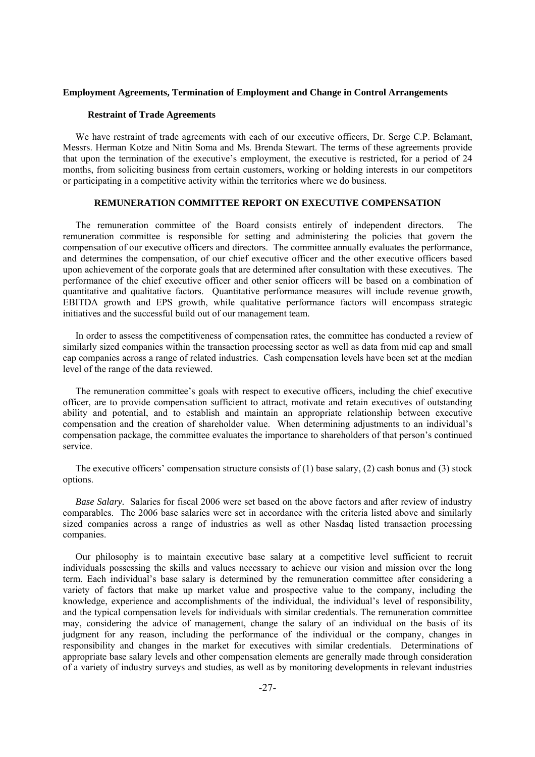#### **Employment Agreements, Termination of Employment and Change in Control Arrangements**

## **Restraint of Trade Agreements**

We have restraint of trade agreements with each of our executive officers, Dr. Serge C.P. Belamant, Messrs. Herman Kotze and Nitin Soma and Ms. Brenda Stewart. The terms of these agreements provide that upon the termination of the executive's employment, the executive is restricted, for a period of 24 months, from soliciting business from certain customers, working or holding interests in our competitors or participating in a competitive activity within the territories where we do business.

# **REMUNERATION COMMITTEE REPORT ON EXECUTIVE COMPENSATION**

The remuneration committee of the Board consists entirely of independent directors. The remuneration committee is responsible for setting and administering the policies that govern the compensation of our executive officers and directors. The committee annually evaluates the performance, and determines the compensation, of our chief executive officer and the other executive officers based upon achievement of the corporate goals that are determined after consultation with these executives. The performance of the chief executive officer and other senior officers will be based on a combination of quantitative and qualitative factors. Quantitative performance measures will include revenue growth, EBITDA growth and EPS growth, while qualitative performance factors will encompass strategic initiatives and the successful build out of our management team.

In order to assess the competitiveness of compensation rates, the committee has conducted a review of similarly sized companies within the transaction processing sector as well as data from mid cap and small cap companies across a range of related industries. Cash compensation levels have been set at the median level of the range of the data reviewed.

The remuneration committee's goals with respect to executive officers, including the chief executive officer, are to provide compensation sufficient to attract, motivate and retain executives of outstanding ability and potential, and to establish and maintain an appropriate relationship between executive compensation and the creation of shareholder value. When determining adjustments to an individual's compensation package, the committee evaluates the importance to shareholders of that person's continued service.

The executive officers' compensation structure consists of  $(1)$  base salary,  $(2)$  cash bonus and  $(3)$  stock options.

*Base Salary.* Salaries for fiscal 2006 were set based on the above factors and after review of industry comparables. The 2006 base salaries were set in accordance with the criteria listed above and similarly sized companies across a range of industries as well as other Nasdaq listed transaction processing companies.

Our philosophy is to maintain executive base salary at a competitive level sufficient to recruit individuals possessing the skills and values necessary to achieve our vision and mission over the long term. Each individual's base salary is determined by the remuneration committee after considering a variety of factors that make up market value and prospective value to the company, including the knowledge, experience and accomplishments of the individual, the individual's level of responsibility, and the typical compensation levels for individuals with similar credentials. The remuneration committee may, considering the advice of management, change the salary of an individual on the basis of its judgment for any reason, including the performance of the individual or the company, changes in responsibility and changes in the market for executives with similar credentials. Determinations of appropriate base salary levels and other compensation elements are generally made through consideration of a variety of industry surveys and studies, as well as by monitoring developments in relevant industries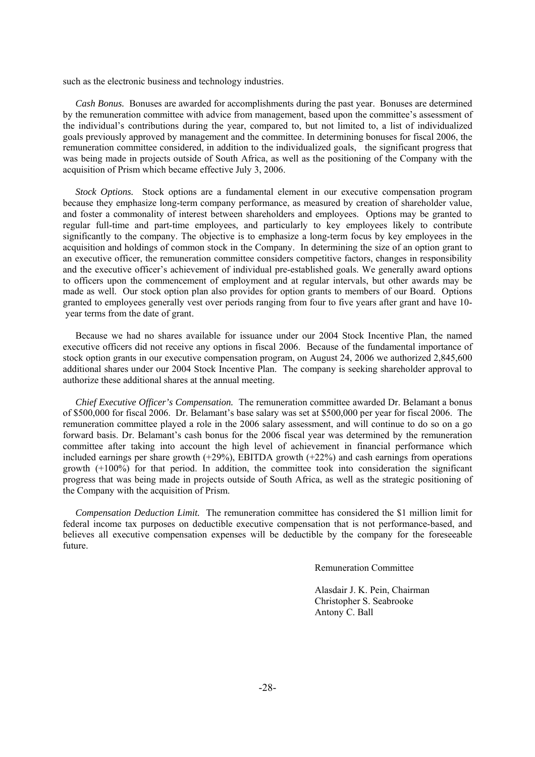such as the electronic business and technology industries.

*Cash Bonus.* Bonuses are awarded for accomplishments during the past year. Bonuses are determined by the remuneration committee with advice from management, based upon the committee's assessment of the individual's contributions during the year, compared to, but not limited to, a list of individualized goals previously approved by management and the committee. In determining bonuses for fiscal 2006, the remuneration committee considered, in addition to the individualized goals, the significant progress that was being made in projects outside of South Africa, as well as the positioning of the Company with the acquisition of Prism which became effective July 3, 2006.

*Stock Options.* Stock options are a fundamental element in our executive compensation program because they emphasize long-term company performance, as measured by creation of shareholder value, and foster a commonality of interest between shareholders and employees. Options may be granted to regular full-time and part-time employees, and particularly to key employees likely to contribute significantly to the company. The objective is to emphasize a long-term focus by key employees in the acquisition and holdings of common stock in the Company. In determining the size of an option grant to an executive officer, the remuneration committee considers competitive factors, changes in responsibility and the executive officer's achievement of individual pre-established goals. We generally award options to officers upon the commencement of employment and at regular intervals, but other awards may be made as well. Our stock option plan also provides for option grants to members of our Board. Options granted to employees generally vest over periods ranging from four to five years after grant and have 10 year terms from the date of grant.

Because we had no shares available for issuance under our 2004 Stock Incentive Plan, the named executive officers did not receive any options in fiscal 2006. Because of the fundamental importance of stock option grants in our executive compensation program, on August 24, 2006 we authorized 2,845,600 additional shares under our 2004 Stock Incentive Plan. The company is seeking shareholder approval to authorize these additional shares at the annual meeting.

*Chief Executive Officer's Compensation.* The remuneration committee awarded Dr. Belamant a bonus of \$500,000 for fiscal 2006. Dr. Belamant's base salary was set at \$500,000 per year for fiscal 2006. The remuneration committee played a role in the 2006 salary assessment, and will continue to do so on a go forward basis. Dr. Belamant's cash bonus for the 2006 fiscal year was determined by the remuneration committee after taking into account the high level of achievement in financial performance which included earnings per share growth (+29%), EBITDA growth (+22%) and cash earnings from operations growth (+100%) for that period. In addition, the committee took into consideration the significant progress that was being made in projects outside of South Africa, as well as the strategic positioning of the Company with the acquisition of Prism.

*Compensation Deduction Limit.* The remuneration committee has considered the \$1 million limit for federal income tax purposes on deductible executive compensation that is not performance-based, and believes all executive compensation expenses will be deductible by the company for the foreseeable future.

Remuneration Committee

 Alasdair J. K. Pein, Chairman Christopher S. Seabrooke Antony C. Ball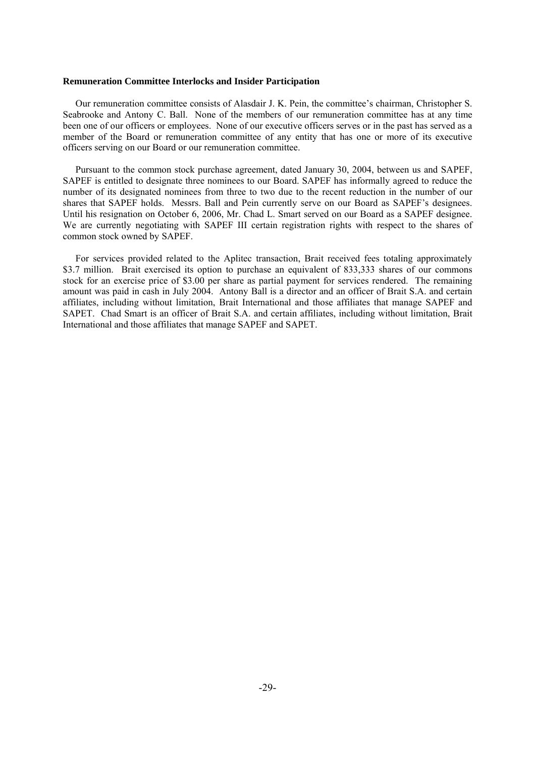#### **Remuneration Committee Interlocks and Insider Participation**

Our remuneration committee consists of Alasdair J. K. Pein, the committee's chairman, Christopher S. Seabrooke and Antony C. Ball. None of the members of our remuneration committee has at any time been one of our officers or employees. None of our executive officers serves or in the past has served as a member of the Board or remuneration committee of any entity that has one or more of its executive officers serving on our Board or our remuneration committee.

Pursuant to the common stock purchase agreement, dated January 30, 2004, between us and SAPEF, SAPEF is entitled to designate three nominees to our Board. SAPEF has informally agreed to reduce the number of its designated nominees from three to two due to the recent reduction in the number of our shares that SAPEF holds. Messrs. Ball and Pein currently serve on our Board as SAPEF's designees. Until his resignation on October 6, 2006, Mr. Chad L. Smart served on our Board as a SAPEF designee. We are currently negotiating with SAPEF III certain registration rights with respect to the shares of common stock owned by SAPEF.

For services provided related to the Aplitec transaction, Brait received fees totaling approximately \$3.7 million. Brait exercised its option to purchase an equivalent of 833,333 shares of our commons stock for an exercise price of \$3.00 per share as partial payment for services rendered. The remaining amount was paid in cash in July 2004. Antony Ball is a director and an officer of Brait S.A. and certain affiliates, including without limitation, Brait International and those affiliates that manage SAPEF and SAPET. Chad Smart is an officer of Brait S.A. and certain affiliates, including without limitation, Brait International and those affiliates that manage SAPEF and SAPET.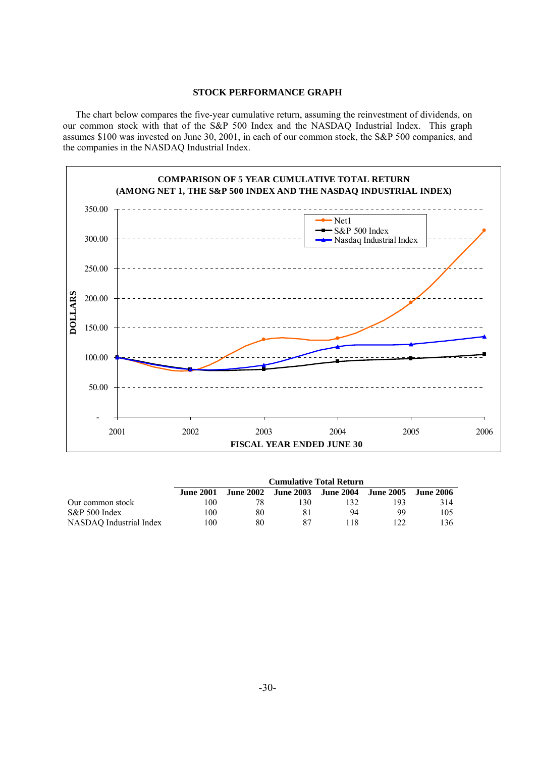## **STOCK PERFORMANCE GRAPH**

The chart below compares the five-year cumulative return, assuming the reinvestment of dividends, on our common stock with that of the S&P 500 Index and the NASDAQ Industrial Index. This graph assumes \$100 was invested on June 30, 2001, in each of our common stock, the S&P 500 companies, and the companies in the NASDAQ Industrial Index.



|                         | <b>Cumulative Total Return</b> |    |     |                                         |      |                    |
|-------------------------|--------------------------------|----|-----|-----------------------------------------|------|--------------------|
|                         | <b>June 2001</b>               |    |     | June 2002 June 2003 June 2004 June 2005 |      | June 2006 <b>J</b> |
| Our common stock        | 00                             |    | 130 | 132                                     | 193. | 314                |
| $S\&P 500$ Index        | 00                             | 80 | 81  | 94                                      | 99   | 105                |
| NASDAO Industrial Index | 100                            | 80 | 87  | 118                                     | 122  | 136.               |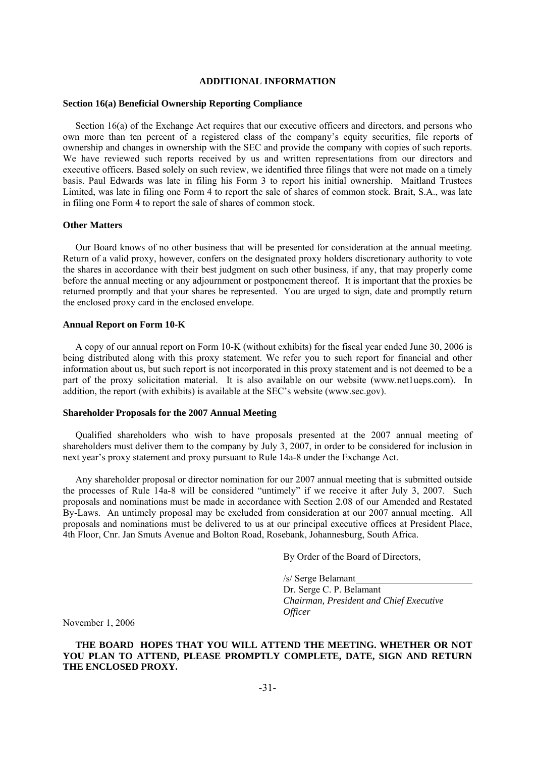#### **ADDITIONAL INFORMATION**

#### **Section 16(a) Beneficial Ownership Reporting Compliance**

Section 16(a) of the Exchange Act requires that our executive officers and directors, and persons who own more than ten percent of a registered class of the company's equity securities, file reports of ownership and changes in ownership with the SEC and provide the company with copies of such reports. We have reviewed such reports received by us and written representations from our directors and executive officers. Based solely on such review, we identified three filings that were not made on a timely basis. Paul Edwards was late in filing his Form 3 to report his initial ownership. Maitland Trustees Limited, was late in filing one Form 4 to report the sale of shares of common stock. Brait, S.A., was late in filing one Form 4 to report the sale of shares of common stock.

#### **Other Matters**

Our Board knows of no other business that will be presented for consideration at the annual meeting. Return of a valid proxy, however, confers on the designated proxy holders discretionary authority to vote the shares in accordance with their best judgment on such other business, if any, that may properly come before the annual meeting or any adjournment or postponement thereof. It is important that the proxies be returned promptly and that your shares be represented. You are urged to sign, date and promptly return the enclosed proxy card in the enclosed envelope.

#### **Annual Report on Form 10-K**

A copy of our annual report on Form 10-K (without exhibits) for the fiscal year ended June 30, 2006 is being distributed along with this proxy statement. We refer you to such report for financial and other information about us, but such report is not incorporated in this proxy statement and is not deemed to be a part of the proxy solicitation material. It is also available on our website (www.net1ueps.com). In addition, the report (with exhibits) is available at the SEC's website (www.sec.gov).

# **Shareholder Proposals for the 2007 Annual Meeting**

Qualified shareholders who wish to have proposals presented at the 2007 annual meeting of shareholders must deliver them to the company by July 3, 2007, in order to be considered for inclusion in next year's proxy statement and proxy pursuant to Rule 14a-8 under the Exchange Act.

Any shareholder proposal or director nomination for our 2007 annual meeting that is submitted outside the processes of Rule 14a-8 will be considered "untimely" if we receive it after July 3, 2007. Such proposals and nominations must be made in accordance with Section 2.08 of our Amended and Restated By-Laws. An untimely proposal may be excluded from consideration at our 2007 annual meeting. All proposals and nominations must be delivered to us at our principal executive offices at President Place, 4th Floor, Cnr. Jan Smuts Avenue and Bolton Road, Rosebank, Johannesburg, South Africa.

By Order of the Board of Directors,

 /s/ Serge Belamant Dr. Serge C. P. Belamant *Chairman, President and Chief Executive Officer* 

November 1, 2006

**THE BOARD HOPES THAT YOU WILL ATTEND THE MEETING. WHETHER OR NOT YOU PLAN TO ATTEND, PLEASE PROMPTLY COMPLETE, DATE, SIGN AND RETURN THE ENCLOSED PROXY.**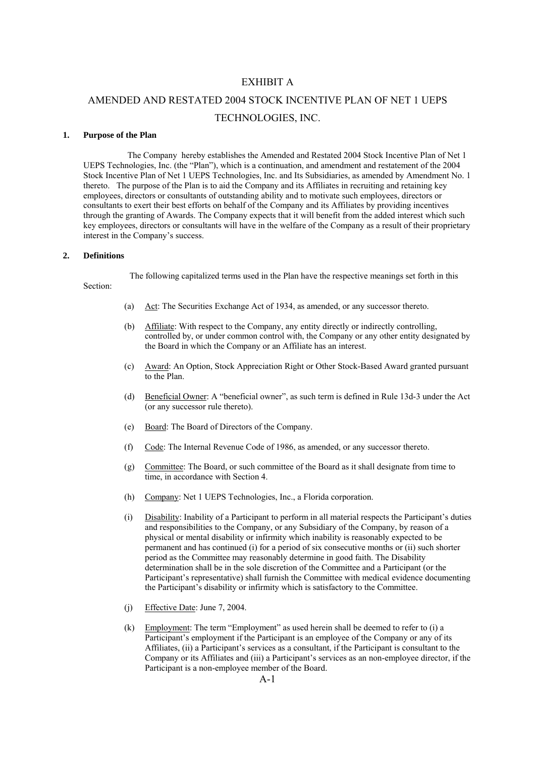# EXHIBIT A

# AMENDED AND RESTATED 2004 STOCK INCENTIVE PLAN OF NET 1 UEPS TECHNOLOGIES, INC.

#### **1. Purpose of the Plan**

 The Company hereby establishes the Amended and Restated 2004 Stock Incentive Plan of Net 1 UEPS Technologies, Inc. (the "Plan"), which is a continuation, and amendment and restatement of the 2004 Stock Incentive Plan of Net 1 UEPS Technologies, Inc. and Its Subsidiaries, as amended by Amendment No. 1 thereto. The purpose of the Plan is to aid the Company and its Affiliates in recruiting and retaining key employees, directors or consultants of outstanding ability and to motivate such employees, directors or consultants to exert their best efforts on behalf of the Company and its Affiliates by providing incentives through the granting of Awards. The Company expects that it will benefit from the added interest which such key employees, directors or consultants will have in the welfare of the Company as a result of their proprietary interest in the Company's success.

#### **2. Definitions**

The following capitalized terms used in the Plan have the respective meanings set forth in this

Section:

- (a) Act: The Securities Exchange Act of 1934, as amended, or any successor thereto.
- (b) Affiliate: With respect to the Company, any entity directly or indirectly controlling, controlled by, or under common control with, the Company or any other entity designated by the Board in which the Company or an Affiliate has an interest.
- (c) Award: An Option, Stock Appreciation Right or Other Stock-Based Award granted pursuant to the Plan.
- (d) Beneficial Owner: A "beneficial owner", as such term is defined in Rule 13d-3 under the Act (or any successor rule thereto).
- (e) Board: The Board of Directors of the Company.
- (f) Code: The Internal Revenue Code of 1986, as amended, or any successor thereto.
- (g) Committee: The Board, or such committee of the Board as it shall designate from time to time, in accordance with Section 4.
- (h) Company: Net 1 UEPS Technologies, Inc., a Florida corporation.
- (i) Disability: Inability of a Participant to perform in all material respects the Participant's duties and responsibilities to the Company, or any Subsidiary of the Company, by reason of a physical or mental disability or infirmity which inability is reasonably expected to be permanent and has continued (i) for a period of six consecutive months or (ii) such shorter period as the Committee may reasonably determine in good faith. The Disability determination shall be in the sole discretion of the Committee and a Participant (or the Participant's representative) shall furnish the Committee with medical evidence documenting the Participant's disability or infirmity which is satisfactory to the Committee.
- (j) Effective Date: June 7, 2004.
- (k) Employment: The term "Employment" as used herein shall be deemed to refer to (i) a Participant's employment if the Participant is an employee of the Company or any of its Affiliates, (ii) a Participant's services as a consultant, if the Participant is consultant to the Company or its Affiliates and (iii) a Participant's services as an non-employee director, if the Participant is a non-employee member of the Board.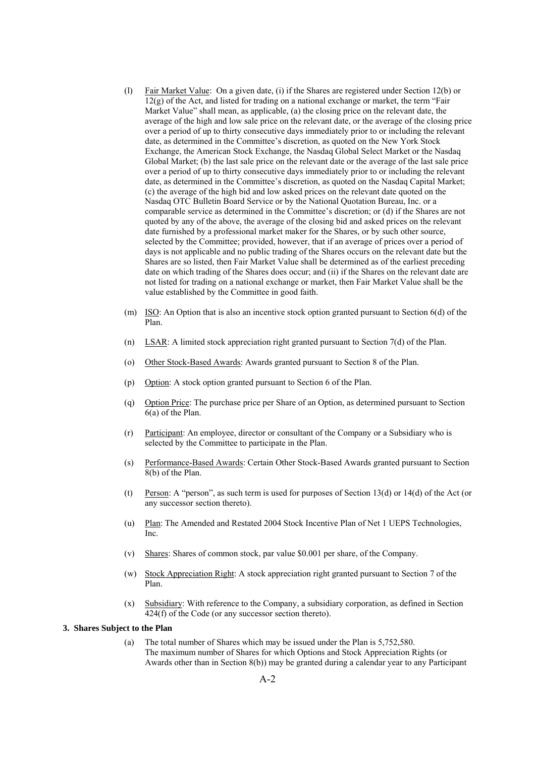- (l) Fair Market Value: On a given date, (i) if the Shares are registered under Section 12(b) or  $12(g)$  of the Act, and listed for trading on a national exchange or market, the term "Fair" Market Value" shall mean, as applicable, (a) the closing price on the relevant date, the average of the high and low sale price on the relevant date, or the average of the closing price over a period of up to thirty consecutive days immediately prior to or including the relevant date, as determined in the Committee's discretion, as quoted on the New York Stock Exchange, the American Stock Exchange, the Nasdaq Global Select Market or the Nasdaq Global Market; (b) the last sale price on the relevant date or the average of the last sale price over a period of up to thirty consecutive days immediately prior to or including the relevant date, as determined in the Committee's discretion, as quoted on the Nasdaq Capital Market; (c) the average of the high bid and low asked prices on the relevant date quoted on the Nasdaq OTC Bulletin Board Service or by the National Quotation Bureau, Inc. or a comparable service as determined in the Committee's discretion; or (d) if the Shares are not quoted by any of the above, the average of the closing bid and asked prices on the relevant date furnished by a professional market maker for the Shares, or by such other source, selected by the Committee; provided, however, that if an average of prices over a period of days is not applicable and no public trading of the Shares occurs on the relevant date but the Shares are so listed, then Fair Market Value shall be determined as of the earliest preceding date on which trading of the Shares does occur; and (ii) if the Shares on the relevant date are not listed for trading on a national exchange or market, then Fair Market Value shall be the value established by the Committee in good faith.
- (m) ISO: An Option that is also an incentive stock option granted pursuant to Section 6(d) of the Plan.
- (n) LSAR: A limited stock appreciation right granted pursuant to Section 7(d) of the Plan.
- (o) Other Stock-Based Awards: Awards granted pursuant to Section 8 of the Plan.
- (p) Option: A stock option granted pursuant to Section 6 of the Plan.
- (q) Option Price: The purchase price per Share of an Option, as determined pursuant to Section 6(a) of the Plan.
- (r) Participant: An employee, director or consultant of the Company or a Subsidiary who is selected by the Committee to participate in the Plan.
- (s) Performance-Based Awards: Certain Other Stock-Based Awards granted pursuant to Section 8(b) of the Plan.
- (t) Person: A "person", as such term is used for purposes of Section 13(d) or 14(d) of the Act (or any successor section thereto).
- (u) Plan: The Amended and Restated 2004 Stock Incentive Plan of Net 1 UEPS Technologies, Inc.
- (v) Shares: Shares of common stock, par value \$0.001 per share, of the Company.
- (w) Stock Appreciation Right: A stock appreciation right granted pursuant to Section 7 of the Plan.
- (x) Subsidiary: With reference to the Company, a subsidiary corporation, as defined in Section 424(f) of the Code (or any successor section thereto).

#### **3. Shares Subject to the Plan**

 (a) The total number of Shares which may be issued under the Plan is 5,752,580. The maximum number of Shares for which Options and Stock Appreciation Rights (or Awards other than in Section 8(b)) may be granted during a calendar year to any Participant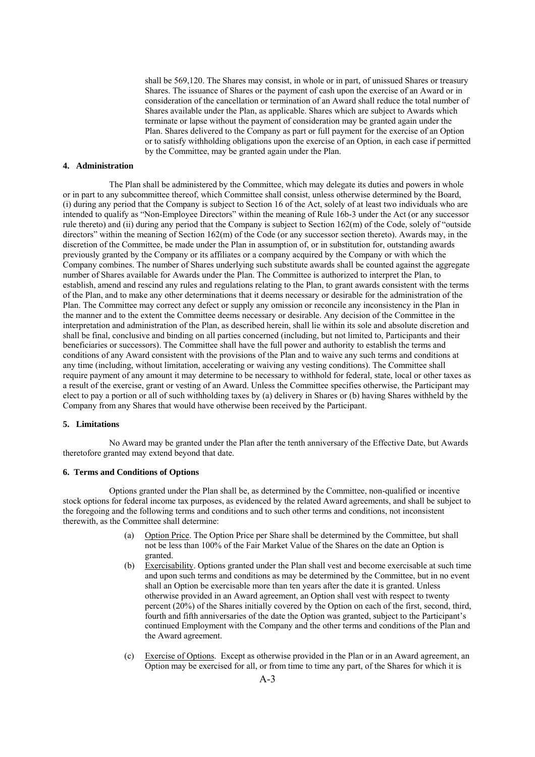shall be 569,120. The Shares may consist, in whole or in part, of unissued Shares or treasury Shares. The issuance of Shares or the payment of cash upon the exercise of an Award or in consideration of the cancellation or termination of an Award shall reduce the total number of Shares available under the Plan, as applicable. Shares which are subject to Awards which terminate or lapse without the payment of consideration may be granted again under the Plan. Shares delivered to the Company as part or full payment for the exercise of an Option or to satisfy withholding obligations upon the exercise of an Option, in each case if permitted by the Committee, may be granted again under the Plan.

#### **4. Administration**

 The Plan shall be administered by the Committee, which may delegate its duties and powers in whole or in part to any subcommittee thereof, which Committee shall consist, unless otherwise determined by the Board, (i) during any period that the Company is subject to Section 16 of the Act, solely of at least two individuals who are intended to qualify as "Non-Employee Directors" within the meaning of Rule 16b-3 under the Act (or any successor rule thereto) and (ii) during any period that the Company is subject to Section 162(m) of the Code, solely of "outside directors" within the meaning of Section 162(m) of the Code (or any successor section thereto). Awards may, in the discretion of the Committee, be made under the Plan in assumption of, or in substitution for, outstanding awards previously granted by the Company or its affiliates or a company acquired by the Company or with which the Company combines. The number of Shares underlying such substitute awards shall be counted against the aggregate number of Shares available for Awards under the Plan. The Committee is authorized to interpret the Plan, to establish, amend and rescind any rules and regulations relating to the Plan, to grant awards consistent with the terms of the Plan, and to make any other determinations that it deems necessary or desirable for the administration of the Plan. The Committee may correct any defect or supply any omission or reconcile any inconsistency in the Plan in the manner and to the extent the Committee deems necessary or desirable. Any decision of the Committee in the interpretation and administration of the Plan, as described herein, shall lie within its sole and absolute discretion and shall be final, conclusive and binding on all parties concerned (including, but not limited to, Participants and their beneficiaries or successors). The Committee shall have the full power and authority to establish the terms and conditions of any Award consistent with the provisions of the Plan and to waive any such terms and conditions at any time (including, without limitation, accelerating or waiving any vesting conditions). The Committee shall require payment of any amount it may determine to be necessary to withhold for federal, state, local or other taxes as a result of the exercise, grant or vesting of an Award. Unless the Committee specifies otherwise, the Participant may elect to pay a portion or all of such withholding taxes by (a) delivery in Shares or (b) having Shares withheld by the Company from any Shares that would have otherwise been received by the Participant.

#### **5. Limitations**

 No Award may be granted under the Plan after the tenth anniversary of the Effective Date, but Awards theretofore granted may extend beyond that date.

#### **6. Terms and Conditions of Options**

 Options granted under the Plan shall be, as determined by the Committee, non-qualified or incentive stock options for federal income tax purposes, as evidenced by the related Award agreements, and shall be subject to the foregoing and the following terms and conditions and to such other terms and conditions, not inconsistent therewith, as the Committee shall determine:

- (a) Option Price. The Option Price per Share shall be determined by the Committee, but shall not be less than 100% of the Fair Market Value of the Shares on the date an Option is granted.
- (b) Exercisability. Options granted under the Plan shall vest and become exercisable at such time and upon such terms and conditions as may be determined by the Committee, but in no event shall an Option be exercisable more than ten years after the date it is granted. Unless otherwise provided in an Award agreement, an Option shall vest with respect to twenty percent (20%) of the Shares initially covered by the Option on each of the first, second, third, fourth and fifth anniversaries of the date the Option was granted, subject to the Participant's continued Employment with the Company and the other terms and conditions of the Plan and the Award agreement.
- (c) Exercise of Options. Except as otherwise provided in the Plan or in an Award agreement, an Option may be exercised for all, or from time to time any part, of the Shares for which it is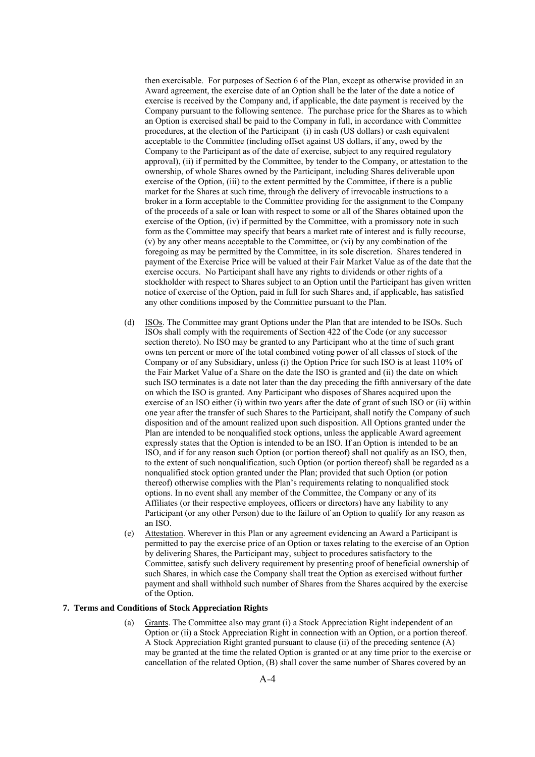then exercisable. For purposes of Section 6 of the Plan, except as otherwise provided in an Award agreement, the exercise date of an Option shall be the later of the date a notice of exercise is received by the Company and, if applicable, the date payment is received by the Company pursuant to the following sentence. The purchase price for the Shares as to which an Option is exercised shall be paid to the Company in full, in accordance with Committee procedures, at the election of the Participant (i) in cash (US dollars) or cash equivalent acceptable to the Committee (including offset against US dollars, if any, owed by the Company to the Participant as of the date of exercise, subject to any required regulatory approval), (ii) if permitted by the Committee, by tender to the Company, or attestation to the ownership, of whole Shares owned by the Participant, including Shares deliverable upon exercise of the Option, (iii) to the extent permitted by the Committee, if there is a public market for the Shares at such time, through the delivery of irrevocable instructions to a broker in a form acceptable to the Committee providing for the assignment to the Company of the proceeds of a sale or loan with respect to some or all of the Shares obtained upon the exercise of the Option, (iv) if permitted by the Committee, with a promissory note in such form as the Committee may specify that bears a market rate of interest and is fully recourse, (v) by any other means acceptable to the Committee, or (vi) by any combination of the foregoing as may be permitted by the Committee, in its sole discretion. Shares tendered in payment of the Exercise Price will be valued at their Fair Market Value as of the date that the exercise occurs. No Participant shall have any rights to dividends or other rights of a stockholder with respect to Shares subject to an Option until the Participant has given written notice of exercise of the Option, paid in full for such Shares and, if applicable, has satisfied any other conditions imposed by the Committee pursuant to the Plan.

- (d) ISOs. The Committee may grant Options under the Plan that are intended to be ISOs. Such ISOs shall comply with the requirements of Section 422 of the Code (or any successor section thereto). No ISO may be granted to any Participant who at the time of such grant owns ten percent or more of the total combined voting power of all classes of stock of the Company or of any Subsidiary, unless (i) the Option Price for such ISO is at least 110% of the Fair Market Value of a Share on the date the ISO is granted and (ii) the date on which such ISO terminates is a date not later than the day preceding the fifth anniversary of the date on which the ISO is granted. Any Participant who disposes of Shares acquired upon the exercise of an ISO either (i) within two years after the date of grant of such ISO or (ii) within one year after the transfer of such Shares to the Participant, shall notify the Company of such disposition and of the amount realized upon such disposition. All Options granted under the Plan are intended to be nonqualified stock options, unless the applicable Award agreement expressly states that the Option is intended to be an ISO. If an Option is intended to be an ISO, and if for any reason such Option (or portion thereof) shall not qualify as an ISO, then, to the extent of such nonqualification, such Option (or portion thereof) shall be regarded as a nonqualified stock option granted under the Plan; provided that such Option (or potion thereof) otherwise complies with the Plan's requirements relating to nonqualified stock options. In no event shall any member of the Committee, the Company or any of its Affiliates (or their respective employees, officers or directors) have any liability to any Participant (or any other Person) due to the failure of an Option to qualify for any reason as an ISO.
- (e) Attestation. Wherever in this Plan or any agreement evidencing an Award a Participant is permitted to pay the exercise price of an Option or taxes relating to the exercise of an Option by delivering Shares, the Participant may, subject to procedures satisfactory to the Committee, satisfy such delivery requirement by presenting proof of beneficial ownership of such Shares, in which case the Company shall treat the Option as exercised without further payment and shall withhold such number of Shares from the Shares acquired by the exercise of the Option.

#### **7. Terms and Conditions of Stock Appreciation Rights**

 (a) Grants. The Committee also may grant (i) a Stock Appreciation Right independent of an Option or (ii) a Stock Appreciation Right in connection with an Option, or a portion thereof. A Stock Appreciation Right granted pursuant to clause (ii) of the preceding sentence (A) may be granted at the time the related Option is granted or at any time prior to the exercise or cancellation of the related Option, (B) shall cover the same number of Shares covered by an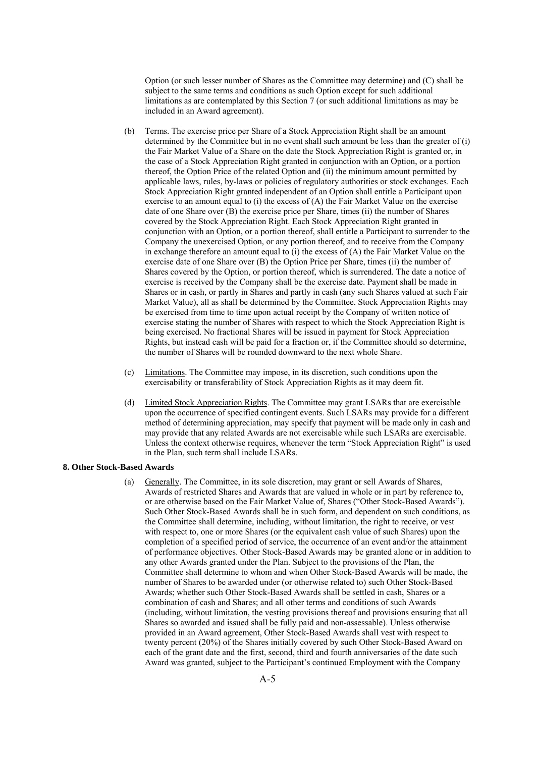Option (or such lesser number of Shares as the Committee may determine) and (C) shall be subject to the same terms and conditions as such Option except for such additional limitations as are contemplated by this Section 7 (or such additional limitations as may be included in an Award agreement).

- (b) Terms. The exercise price per Share of a Stock Appreciation Right shall be an amount determined by the Committee but in no event shall such amount be less than the greater of (i) the Fair Market Value of a Share on the date the Stock Appreciation Right is granted or, in the case of a Stock Appreciation Right granted in conjunction with an Option, or a portion thereof, the Option Price of the related Option and (ii) the minimum amount permitted by applicable laws, rules, by-laws or policies of regulatory authorities or stock exchanges. Each Stock Appreciation Right granted independent of an Option shall entitle a Participant upon exercise to an amount equal to (i) the excess of (A) the Fair Market Value on the exercise date of one Share over (B) the exercise price per Share, times (ii) the number of Shares covered by the Stock Appreciation Right. Each Stock Appreciation Right granted in conjunction with an Option, or a portion thereof, shall entitle a Participant to surrender to the Company the unexercised Option, or any portion thereof, and to receive from the Company in exchange therefore an amount equal to (i) the excess of  $(A)$  the Fair Market Value on the exercise date of one Share over (B) the Option Price per Share, times (ii) the number of Shares covered by the Option, or portion thereof, which is surrendered. The date a notice of exercise is received by the Company shall be the exercise date. Payment shall be made in Shares or in cash, or partly in Shares and partly in cash (any such Shares valued at such Fair Market Value), all as shall be determined by the Committee. Stock Appreciation Rights may be exercised from time to time upon actual receipt by the Company of written notice of exercise stating the number of Shares with respect to which the Stock Appreciation Right is being exercised. No fractional Shares will be issued in payment for Stock Appreciation Rights, but instead cash will be paid for a fraction or, if the Committee should so determine, the number of Shares will be rounded downward to the next whole Share.
- (c) Limitations. The Committee may impose, in its discretion, such conditions upon the exercisability or transferability of Stock Appreciation Rights as it may deem fit.
- (d) Limited Stock Appreciation Rights. The Committee may grant LSARs that are exercisable upon the occurrence of specified contingent events. Such LSARs may provide for a different method of determining appreciation, may specify that payment will be made only in cash and may provide that any related Awards are not exercisable while such LSARs are exercisable. Unless the context otherwise requires, whenever the term "Stock Appreciation Right" is used in the Plan, such term shall include LSARs.

#### **8. Other Stock-Based Awards**

 (a) Generally. The Committee, in its sole discretion, may grant or sell Awards of Shares, Awards of restricted Shares and Awards that are valued in whole or in part by reference to, or are otherwise based on the Fair Market Value of, Shares ("Other Stock-Based Awards"). Such Other Stock-Based Awards shall be in such form, and dependent on such conditions, as the Committee shall determine, including, without limitation, the right to receive, or vest with respect to, one or more Shares (or the equivalent cash value of such Shares) upon the completion of a specified period of service, the occurrence of an event and/or the attainment of performance objectives. Other Stock-Based Awards may be granted alone or in addition to any other Awards granted under the Plan. Subject to the provisions of the Plan, the Committee shall determine to whom and when Other Stock-Based Awards will be made, the number of Shares to be awarded under (or otherwise related to) such Other Stock-Based Awards; whether such Other Stock-Based Awards shall be settled in cash, Shares or a combination of cash and Shares; and all other terms and conditions of such Awards (including, without limitation, the vesting provisions thereof and provisions ensuring that all Shares so awarded and issued shall be fully paid and non-assessable). Unless otherwise provided in an Award agreement, Other Stock-Based Awards shall vest with respect to twenty percent (20%) of the Shares initially covered by such Other Stock-Based Award on each of the grant date and the first, second, third and fourth anniversaries of the date such Award was granted, subject to the Participant's continued Employment with the Company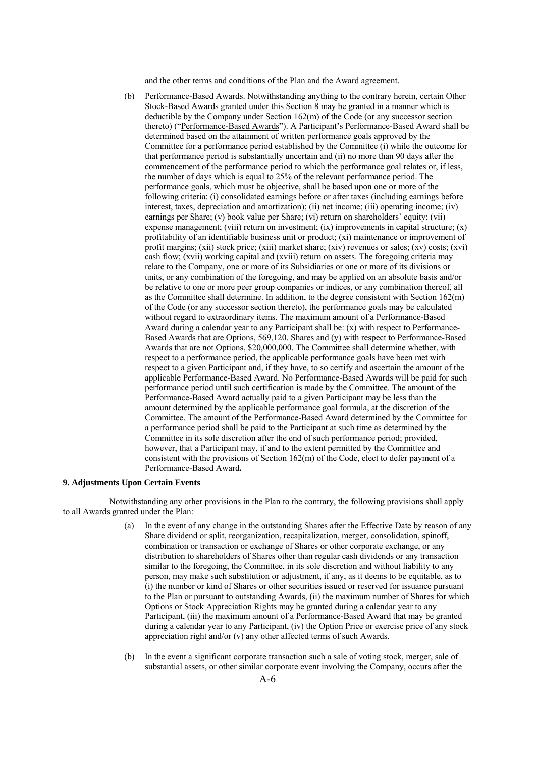and the other terms and conditions of the Plan and the Award agreement.

 (b) Performance-Based Awards. Notwithstanding anything to the contrary herein, certain Other Stock-Based Awards granted under this Section 8 may be granted in a manner which is deductible by the Company under Section 162(m) of the Code (or any successor section thereto) ("Performance-Based Awards"). A Participant's Performance-Based Award shall be determined based on the attainment of written performance goals approved by the Committee for a performance period established by the Committee (i) while the outcome for that performance period is substantially uncertain and (ii) no more than 90 days after the commencement of the performance period to which the performance goal relates or, if less, the number of days which is equal to 25% of the relevant performance period. The performance goals, which must be objective, shall be based upon one or more of the following criteria: (i) consolidated earnings before or after taxes (including earnings before interest, taxes, depreciation and amortization); (ii) net income; (iii) operating income; (iv) earnings per Share; (v) book value per Share; (vi) return on shareholders' equity; (vii) expense management; (viii) return on investment; (ix) improvements in capital structure; (x) profitability of an identifiable business unit or product; (xi) maintenance or improvement of profit margins; (xii) stock price; (xiii) market share; (xiv) revenues or sales; (xv) costs; (xvi) cash flow; (xvii) working capital and (xviii) return on assets. The foregoing criteria may relate to the Company, one or more of its Subsidiaries or one or more of its divisions or units, or any combination of the foregoing, and may be applied on an absolute basis and/or be relative to one or more peer group companies or indices, or any combination thereof, all as the Committee shall determine. In addition, to the degree consistent with Section 162(m) of the Code (or any successor section thereto), the performance goals may be calculated without regard to extraordinary items. The maximum amount of a Performance-Based Award during a calendar year to any Participant shall be: (x) with respect to Performance-Based Awards that are Options, 569,120. Shares and (y) with respect to Performance-Based Awards that are not Options, \$20,000,000. The Committee shall determine whether, with respect to a performance period, the applicable performance goals have been met with respect to a given Participant and, if they have, to so certify and ascertain the amount of the applicable Performance-Based Award. No Performance-Based Awards will be paid for such performance period until such certification is made by the Committee. The amount of the Performance-Based Award actually paid to a given Participant may be less than the amount determined by the applicable performance goal formula, at the discretion of the Committee. The amount of the Performance-Based Award determined by the Committee for a performance period shall be paid to the Participant at such time as determined by the Committee in its sole discretion after the end of such performance period; provided, however, that a Participant may, if and to the extent permitted by the Committee and consistent with the provisions of Section 162(m) of the Code, elect to defer payment of a Performance-Based Award**.**

## **9. Adjustments Upon Certain Events**

 Notwithstanding any other provisions in the Plan to the contrary, the following provisions shall apply to all Awards granted under the Plan:

- (a) In the event of any change in the outstanding Shares after the Effective Date by reason of any Share dividend or split, reorganization, recapitalization, merger, consolidation, spinoff, combination or transaction or exchange of Shares or other corporate exchange, or any distribution to shareholders of Shares other than regular cash dividends or any transaction similar to the foregoing, the Committee, in its sole discretion and without liability to any person, may make such substitution or adjustment, if any, as it deems to be equitable, as to (i) the number or kind of Shares or other securities issued or reserved for issuance pursuant to the Plan or pursuant to outstanding Awards, (ii) the maximum number of Shares for which Options or Stock Appreciation Rights may be granted during a calendar year to any Participant, (iii) the maximum amount of a Performance-Based Award that may be granted during a calendar year to any Participant, (iv) the Option Price or exercise price of any stock appreciation right and/or (v) any other affected terms of such Awards.
- (b) In the event a significant corporate transaction such a sale of voting stock, merger, sale of substantial assets, or other similar corporate event involving the Company, occurs after the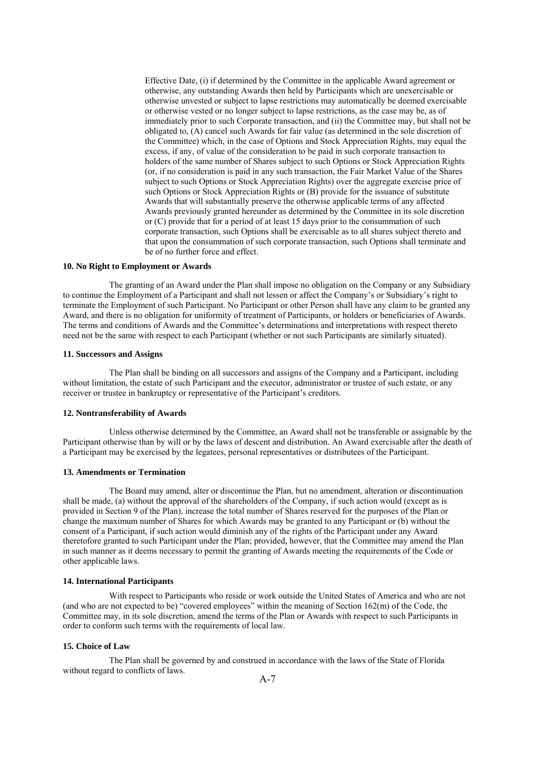Effective Date, (i) if determined by the Committee in the applicable Award agreement or otherwise, any outstanding Awards then held by Participants which are unexercisable or otherwise unvested or subject to lapse restrictions may automatically be deemed exercisable or otherwise vested or no longer subject to lapse restrictions, as the case may be, as of immediately prior to such Corporate transaction, and (ii) the Committee may, but shall not be obligated to, (A) cancel such Awards for fair value (as determined in the sole discretion of the Committee) which, in the case of Options and Stock Appreciation Rights, may equal the excess, if any, of value of the consideration to be paid in such corporate transaction to holders of the same number of Shares subject to such Options or Stock Appreciation Rights (or, if no consideration is paid in any such transaction, the Fair Market Value of the Shares subject to such Options or Stock Appreciation Rights) over the aggregate exercise price of such Options or Stock Appreciation Rights or (B) provide for the issuance of substitute Awards that will substantially preserve the otherwise applicable terms of any affected Awards previously granted hereunder as determined by the Committee in its sole discretion or (C) provide that for a period of at least 15 days prior to the consummation of such corporate transaction, such Options shall be exercisable as to all shares subject thereto and that upon the consummation of such corporate transaction, such Options shall terminate and be of no further force and effect.

#### **10. No Right to Employment or Awards**

 The granting of an Award under the Plan shall impose no obligation on the Company or any Subsidiary to continue the Employment of a Participant and shall not lessen or affect the Company's or Subsidiary's right to terminate the Employment of such Participant. No Participant or other Person shall have any claim to be granted any Award, and there is no obligation for uniformity of treatment of Participants, or holders or beneficiaries of Awards. The terms and conditions of Awards and the Committee's determinations and interpretations with respect thereto need not be the same with respect to each Participant (whether or not such Participants are similarly situated).

#### **11. Successors and Assigns**

 The Plan shall be binding on all successors and assigns of the Company and a Participant, including without limitation, the estate of such Participant and the executor, administrator or trustee of such estate, or any receiver or trustee in bankruptcy or representative of the Participant's creditors.

#### **12. Nontransferability of Awards**

 Unless otherwise determined by the Committee, an Award shall not be transferable or assignable by the Participant otherwise than by will or by the laws of descent and distribution. An Award exercisable after the death of a Participant may be exercised by the legatees, personal representatives or distributees of the Participant.

#### **13. Amendments or Termination**

 The Board may amend, alter or discontinue the Plan, but no amendment, alteration or discontinuation shall be made, (a) without the approval of the shareholders of the Company, if such action would (except as is provided in Section 9 of the Plan), increase the total number of Shares reserved for the purposes of the Plan or change the maximum number of Shares for which Awards may be granted to any Participant or (b) without the consent of a Participant, if such action would diminish any of the rights of the Participant under any Award theretofore granted to such Participant under the Plan; provided, however, that the Committee may amend the Plan in such manner as it deems necessary to permit the granting of Awards meeting the requirements of the Code or other applicable laws.

## **14. International Participants**

 With respect to Participants who reside or work outside the United States of America and who are not (and who are not expected to be) "covered employees" within the meaning of Section 162(m) of the Code, the Committee may, in its sole discretion, amend the terms of the Plan or Awards with respect to such Participants in order to conform such terms with the requirements of local law.

## **15. Choice of Law**

 The Plan shall be governed by and construed in accordance with the laws of the State of Florida without regard to conflicts of laws.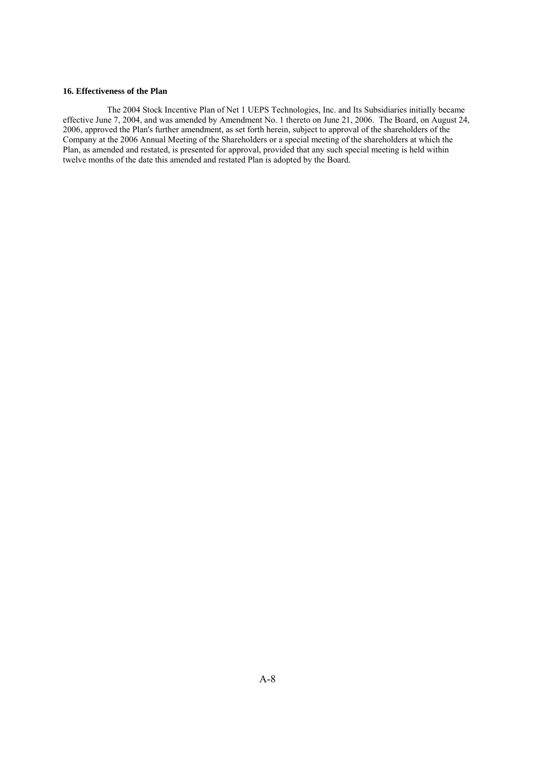#### **16. Effectiveness of the Plan**

 The 2004 Stock Incentive Plan of Net 1 UEPS Technologies, Inc. and Its Subsidiaries initially became effective June 7, 2004, and was amended by Amendment No. 1 thereto on June 21, 2006. The Board, on August 24, 2006, approved the Plan's further amendment, as set forth herein, subject to approval of the shareholders of the Company at the 2006 Annual Meeting of the Shareholders or a special meeting of the shareholders at which the Plan, as amended and restated, is presented for approval, provided that any such special meeting is held within twelve months of the date this amended and restated Plan is adopted by the Board.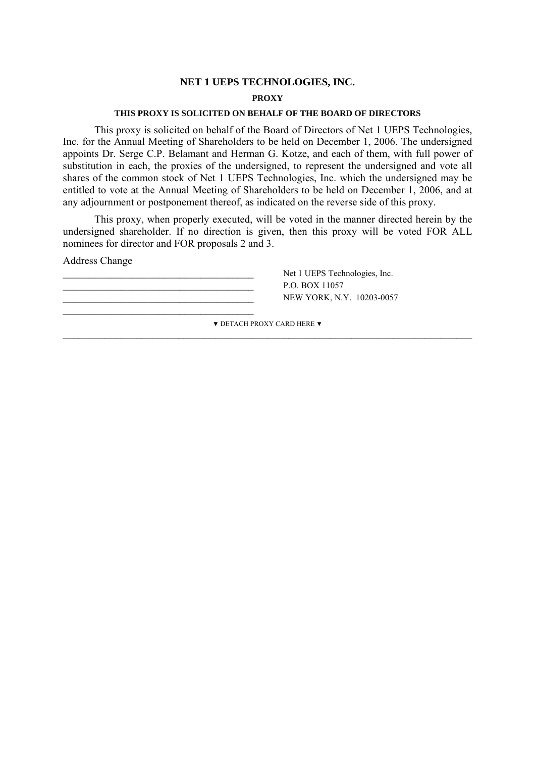# **NET 1 UEPS TECHNOLOGIES, INC.**

# **PROXY**

# **THIS PROXY IS SOLICITED ON BEHALF OF THE BOARD OF DIRECTORS**

This proxy is solicited on behalf of the Board of Directors of Net 1 UEPS Technologies, Inc. for the Annual Meeting of Shareholders to be held on December 1, 2006. The undersigned appoints Dr. Serge C.P. Belamant and Herman G. Kotze, and each of them, with full power of substitution in each, the proxies of the undersigned, to represent the undersigned and vote all shares of the common stock of Net 1 UEPS Technologies, Inc. which the undersigned may be entitled to vote at the Annual Meeting of Shareholders to be held on December 1, 2006, and at any adjournment or postponement thereof, as indicated on the reverse side of this proxy.

This proxy, when properly executed, will be voted in the manner directed herein by the undersigned shareholder. If no direction is given, then this proxy will be voted FOR ALL nominees for director and FOR proposals 2 and 3.

Address Change

P.O. BOX 11057 \_\_\_\_\_\_\_\_\_\_\_\_\_\_\_\_\_\_\_\_\_\_\_\_\_\_\_\_\_\_\_\_\_\_\_\_

Net 1 UEPS Technologies, Inc. NEW YORK, N.Y. 10203-0057

▼ DETACH PROXY CARD HERE ▼  $\_$  , and the contribution of the contribution of the contribution of the contribution of  $\mathcal{L}_\text{max}$